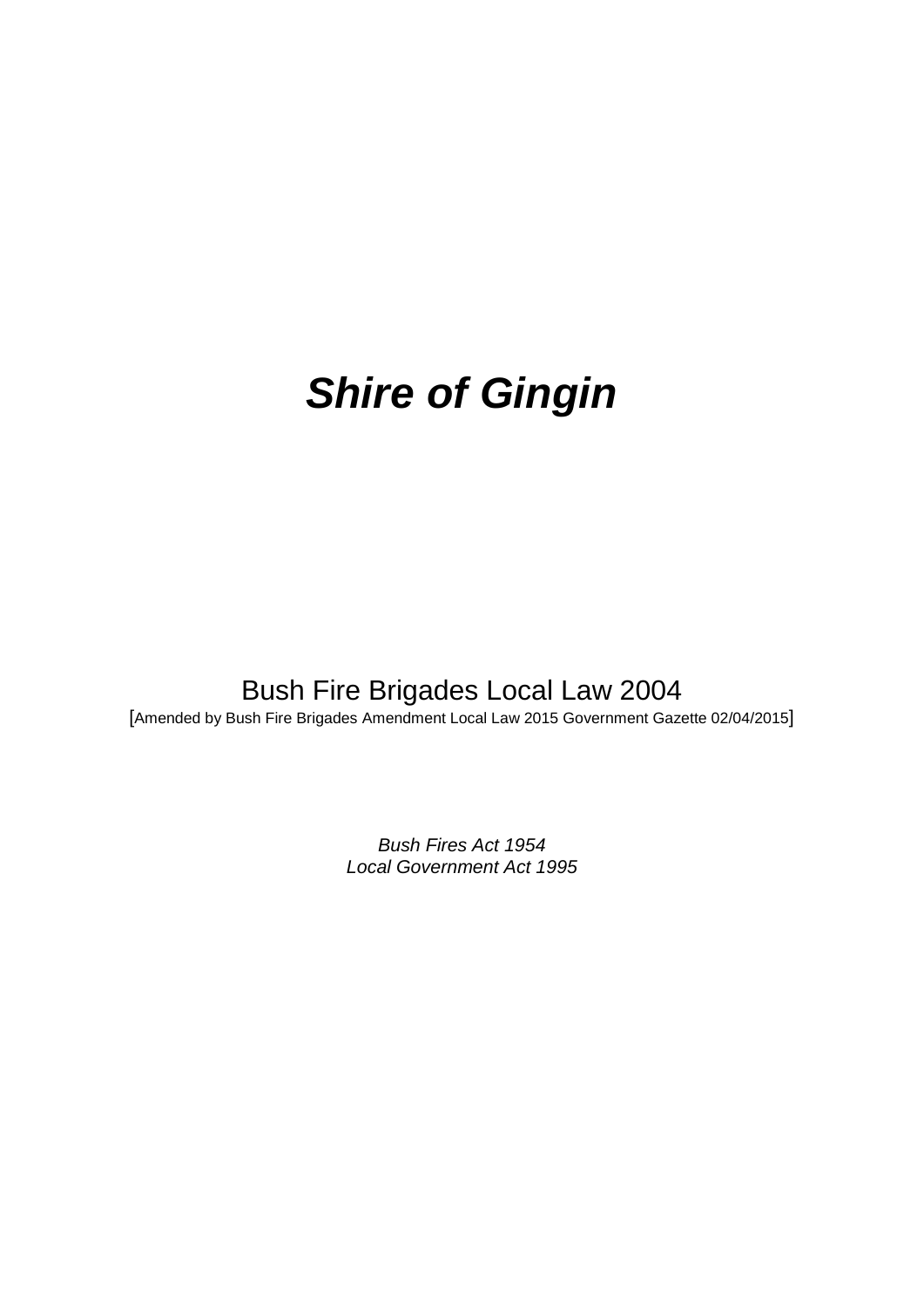# *Shire of Gingin*

# Bush Fire Brigades Local Law 2004

[Amended by Bush Fire Brigades Amendment Local Law 2015 Government Gazette 02/04/2015]

*Bush Fires Act 1954 Local Government Act 1995*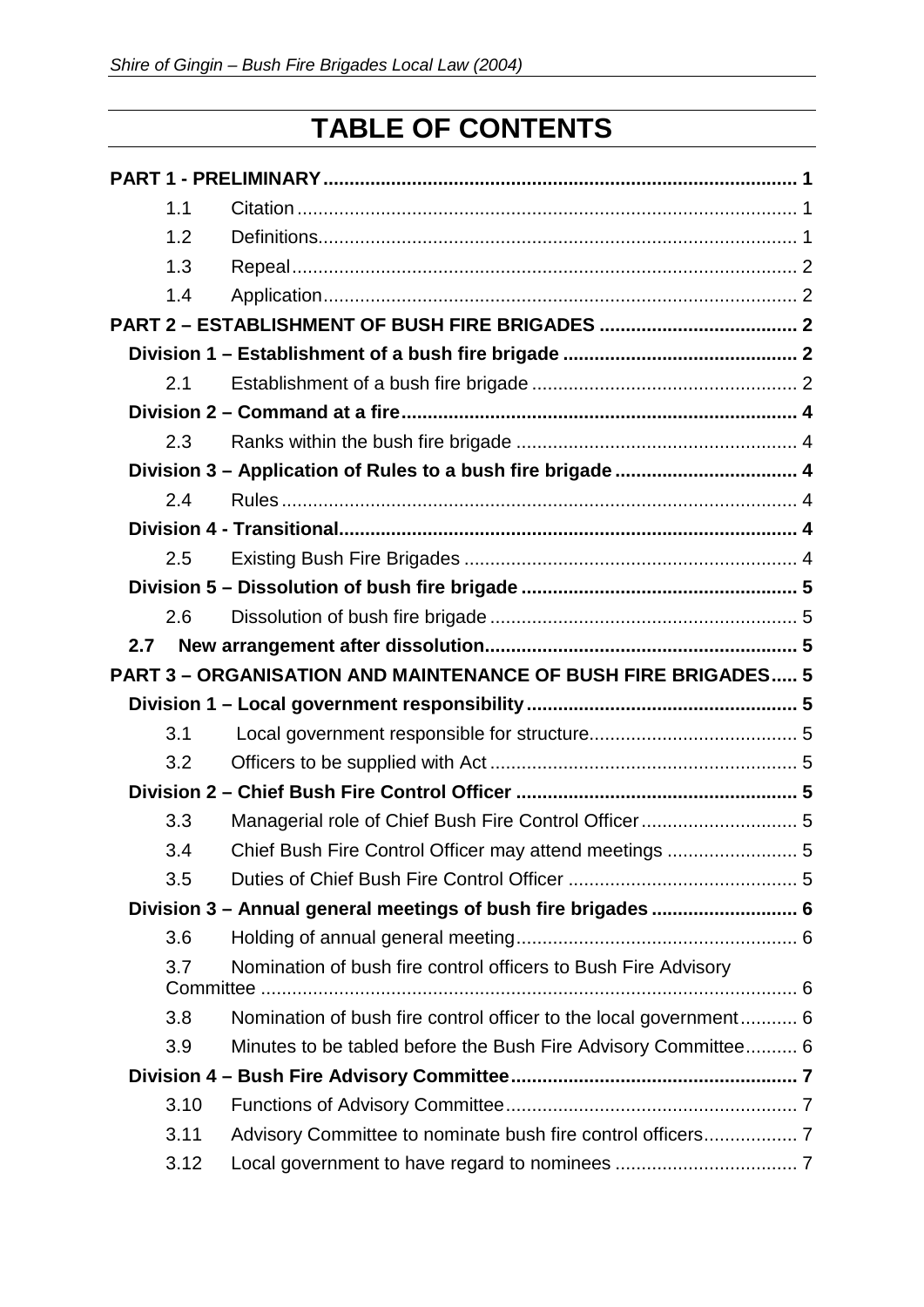# **TABLE OF CONTENTS**

| 1.1  |                                                                      |  |  |
|------|----------------------------------------------------------------------|--|--|
| 1.2  |                                                                      |  |  |
| 1.3  |                                                                      |  |  |
| 1.4  |                                                                      |  |  |
|      |                                                                      |  |  |
|      |                                                                      |  |  |
| 2.1  |                                                                      |  |  |
|      |                                                                      |  |  |
| 2.3  |                                                                      |  |  |
|      | Division 3 - Application of Rules to a bush fire brigade  4          |  |  |
| 2.4  |                                                                      |  |  |
|      |                                                                      |  |  |
| 2.5  |                                                                      |  |  |
|      |                                                                      |  |  |
| 2.6  |                                                                      |  |  |
| 2.7  |                                                                      |  |  |
|      | <b>PART 3 - ORGANISATION AND MAINTENANCE OF BUSH FIRE BRIGADES 5</b> |  |  |
|      |                                                                      |  |  |
| 3.1  |                                                                      |  |  |
| 3.2  |                                                                      |  |  |
|      |                                                                      |  |  |
| 3.3  | Managerial role of Chief Bush Fire Control Officer 5                 |  |  |
| 3.4  |                                                                      |  |  |
| 3.5  |                                                                      |  |  |
|      | Division 3 - Annual general meetings of bush fire brigades  6        |  |  |
| 3.6  |                                                                      |  |  |
| 3.7  | Nomination of bush fire control officers to Bush Fire Advisory       |  |  |
|      |                                                                      |  |  |
| 3.8  | Nomination of bush fire control officer to the local government 6    |  |  |
| 3.9  | Minutes to be tabled before the Bush Fire Advisory Committee 6       |  |  |
|      |                                                                      |  |  |
| 3.10 |                                                                      |  |  |
| 3.11 |                                                                      |  |  |
| 3.12 |                                                                      |  |  |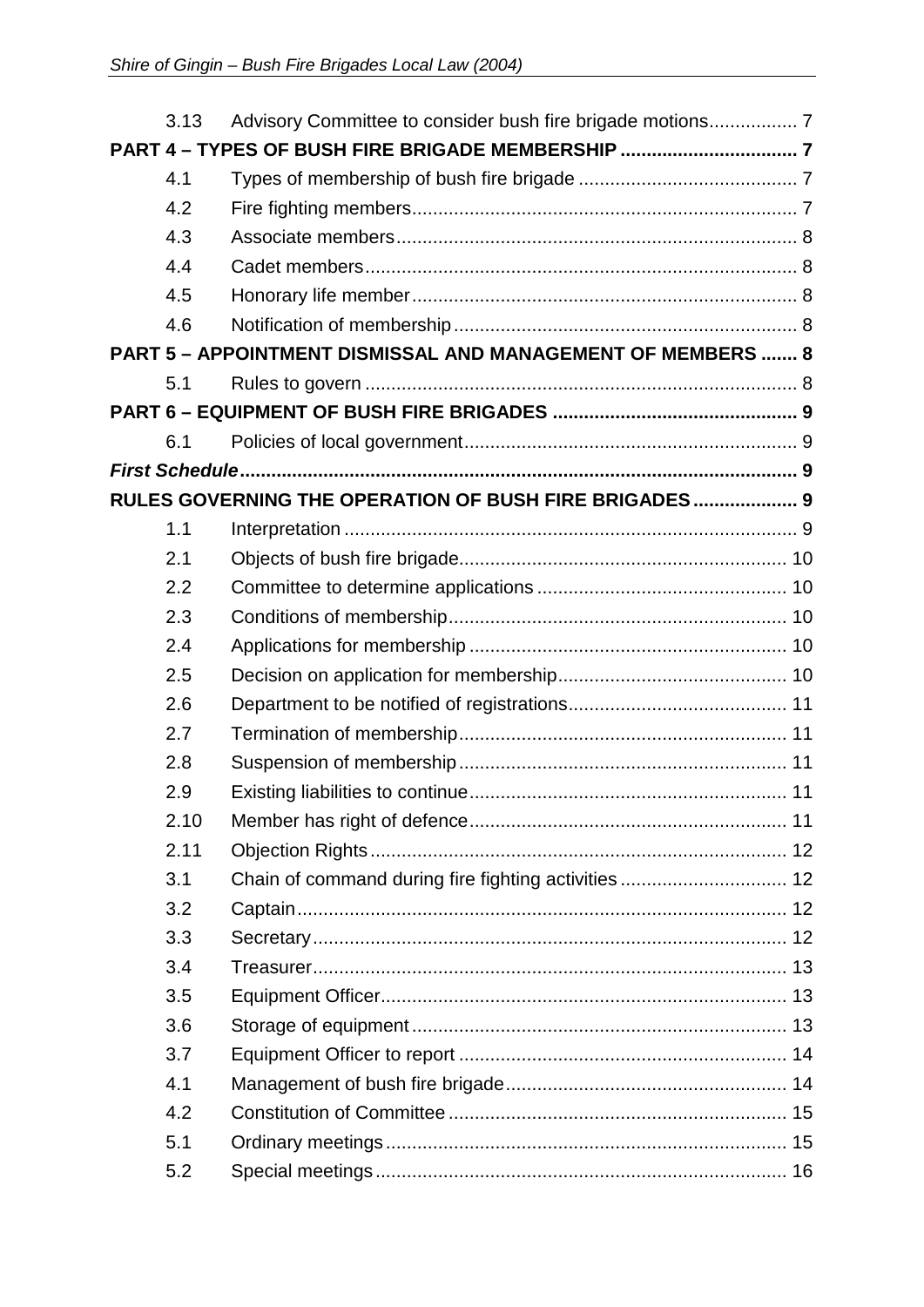| 3.13 |                                                             |  |  |  |  |  |
|------|-------------------------------------------------------------|--|--|--|--|--|
|      |                                                             |  |  |  |  |  |
| 4.1  |                                                             |  |  |  |  |  |
| 4.2  |                                                             |  |  |  |  |  |
| 4.3  |                                                             |  |  |  |  |  |
| 4.4  |                                                             |  |  |  |  |  |
| 4.5  |                                                             |  |  |  |  |  |
| 4.6  |                                                             |  |  |  |  |  |
|      | PART 5 - APPOINTMENT DISMISSAL AND MANAGEMENT OF MEMBERS  8 |  |  |  |  |  |
| 5.1  |                                                             |  |  |  |  |  |
|      |                                                             |  |  |  |  |  |
| 6.1  |                                                             |  |  |  |  |  |
|      |                                                             |  |  |  |  |  |
|      | RULES GOVERNING THE OPERATION OF BUSH FIRE BRIGADES 9       |  |  |  |  |  |
| 1.1  |                                                             |  |  |  |  |  |
| 2.1  |                                                             |  |  |  |  |  |
| 2.2  |                                                             |  |  |  |  |  |
| 2.3  |                                                             |  |  |  |  |  |
| 2.4  |                                                             |  |  |  |  |  |
| 2.5  |                                                             |  |  |  |  |  |
| 2.6  |                                                             |  |  |  |  |  |
| 2.7  |                                                             |  |  |  |  |  |
| 2.8  |                                                             |  |  |  |  |  |
| 2.9  |                                                             |  |  |  |  |  |
| 2.10 |                                                             |  |  |  |  |  |
| 2.11 |                                                             |  |  |  |  |  |
| 3.1  |                                                             |  |  |  |  |  |
| 3.2  |                                                             |  |  |  |  |  |
| 3.3  |                                                             |  |  |  |  |  |
| 3.4  |                                                             |  |  |  |  |  |
| 3.5  |                                                             |  |  |  |  |  |
| 3.6  |                                                             |  |  |  |  |  |
| 3.7  |                                                             |  |  |  |  |  |
| 4.1  |                                                             |  |  |  |  |  |
| 4.2  |                                                             |  |  |  |  |  |
| 5.1  |                                                             |  |  |  |  |  |
| 5.2  |                                                             |  |  |  |  |  |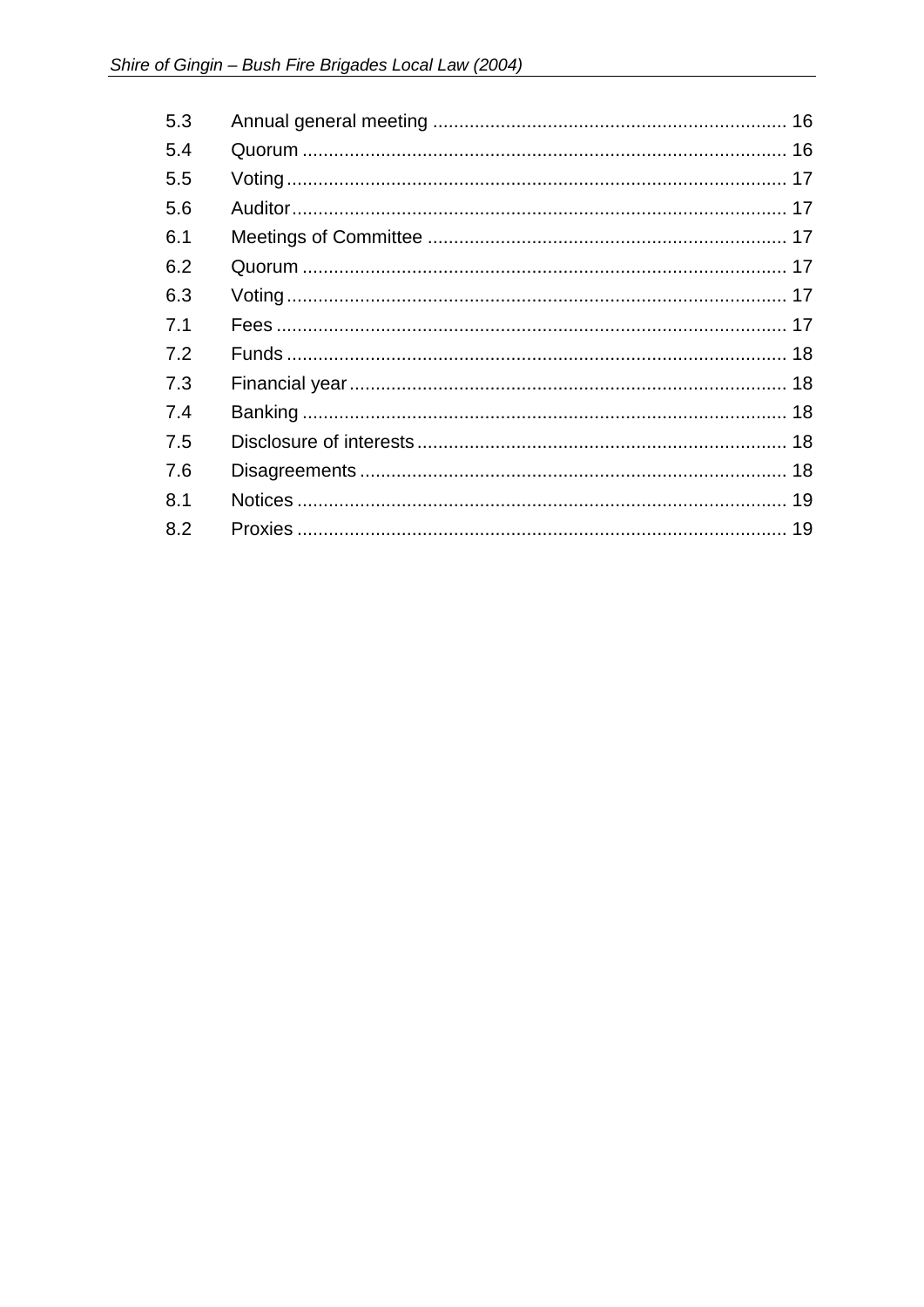| 5.3 |  |
|-----|--|
| 5.4 |  |
| 5.5 |  |
| 5.6 |  |
| 6.1 |  |
| 6.2 |  |
| 6.3 |  |
| 7.1 |  |
| 7.2 |  |
| 7.3 |  |
| 7.4 |  |
| 7.5 |  |
| 7.6 |  |
| 8.1 |  |
| 8.2 |  |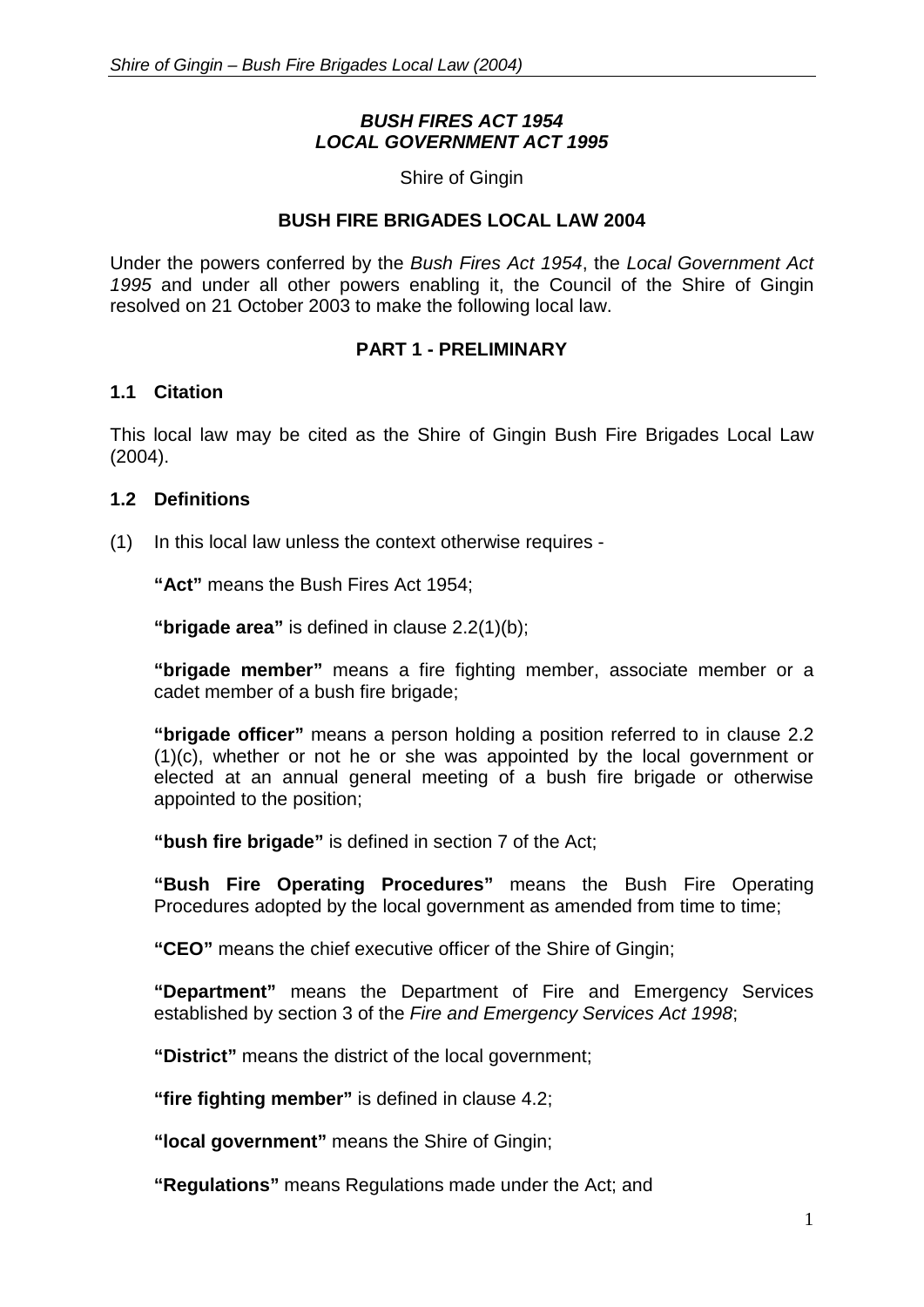# *BUSH FIRES ACT 1954 LOCAL GOVERNMENT ACT 1995*

Shire of Gingin

#### **BUSH FIRE BRIGADES LOCAL LAW 2004**

Under the powers conferred by the *Bush Fires Act 1954*, the *Local Government Act 1995* and under all other powers enabling it, the Council of the Shire of Gingin resolved on 21 October 2003 to make the following local law.

#### **PART 1 - PRELIMINARY**

#### <span id="page-4-1"></span><span id="page-4-0"></span>**1.1 Citation**

This local law may be cited as the Shire of Gingin Bush Fire Brigades Local Law (2004).

#### <span id="page-4-2"></span>**1.2 Definitions**

(1) In this local law unless the context otherwise requires -

**"Act"** means the Bush Fires Act 1954;

**"brigade area"** is defined in clause 2.2(1)(b);

**"brigade member"** means a fire fighting member, associate member or a cadet member of a bush fire brigade;

**"brigade officer"** means a person holding a position referred to in clause 2.2 (1)(c), whether or not he or she was appointed by the local government or elected at an annual general meeting of a bush fire brigade or otherwise appointed to the position;

**"bush fire brigade"** is defined in section 7 of the Act;

**"Bush Fire Operating Procedures"** means the Bush Fire Operating Procedures adopted by the local government as amended from time to time;

**"CEO"** means the chief executive officer of the Shire of Gingin;

**"Department"** means the Department of Fire and Emergency Services established by section 3 of the *Fire and Emergency Services Act 1998*;

**"District"** means the district of the local government;

**"fire fighting member"** is defined in clause 4.2;

**"local government"** means the Shire of Gingin;

**"Regulations"** means Regulations made under the Act; and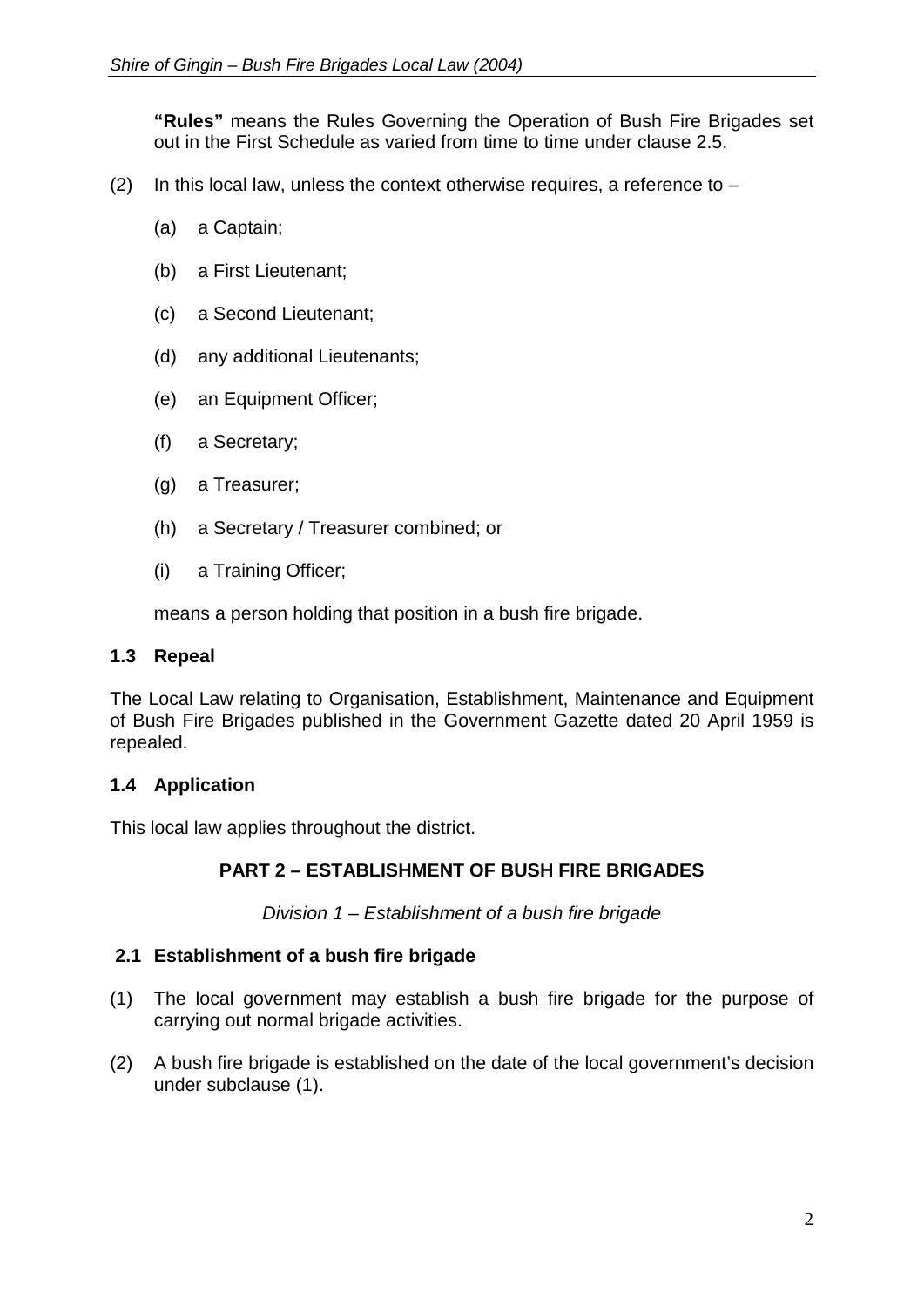**"Rules"** means the Rules Governing the Operation of Bush Fire Brigades set out in the First Schedule as varied from time to time under clause 2.5.

- (2) In this local law, unless the context otherwise requires, a reference to  $-$ 
	- (a) a Captain;
	- (b) a First Lieutenant;
	- (c) a Second Lieutenant;
	- (d) any additional Lieutenants;
	- (e) an Equipment Officer;
	- (f) a Secretary;
	- (g) a Treasurer;
	- (h) a Secretary / Treasurer combined; or
	- (i) a Training Officer;

means a person holding that position in a bush fire brigade.

#### <span id="page-5-0"></span>**1.3 Repeal**

The Local Law relating to Organisation, Establishment, Maintenance and Equipment of Bush Fire Brigades published in the Government Gazette dated 20 April 1959 is repealed.

#### <span id="page-5-1"></span>**1.4 Application**

<span id="page-5-2"></span>This local law applies throughout the district.

# **PART 2 – ESTABLISHMENT OF BUSH FIRE BRIGADES**

*Division 1 – Establishment of a bush fire brigade*

#### <span id="page-5-4"></span><span id="page-5-3"></span>**2.1 Establishment of a bush fire brigade**

- (1) The local government may establish a bush fire brigade for the purpose of carrying out normal brigade activities.
- (2) A bush fire brigade is established on the date of the local government's decision under subclause (1).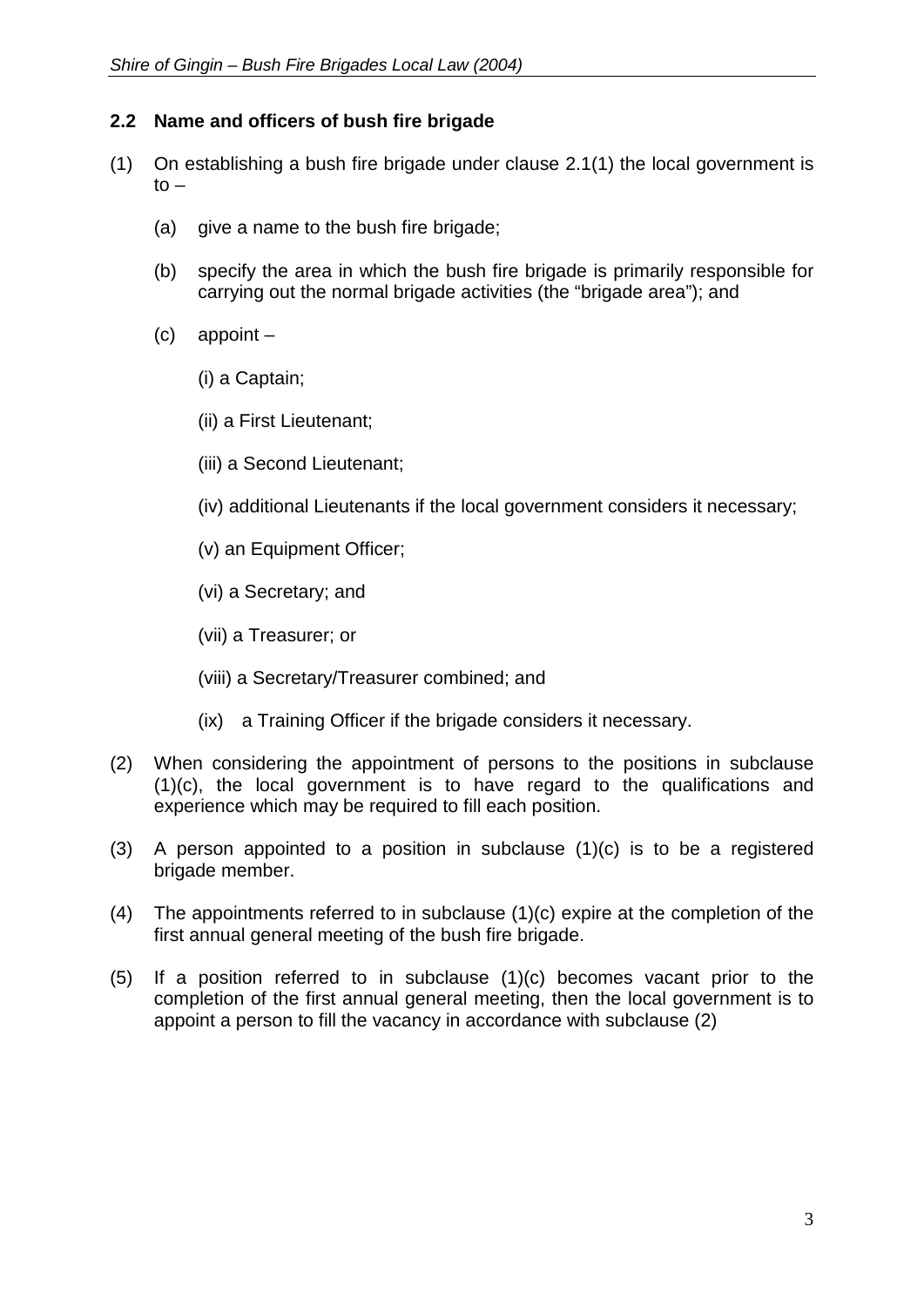# **2.2 Name and officers of bush fire brigade**

- (1) On establishing a bush fire brigade under clause 2.1(1) the local government is  $to -$ 
	- (a) give a name to the bush fire brigade;
	- (b) specify the area in which the bush fire brigade is primarily responsible for carrying out the normal brigade activities (the "brigade area"); and
	- (c) appoint
		- (i) a Captain;
		- (ii) a First Lieutenant;
		- (iii) a Second Lieutenant;
		- (iv) additional Lieutenants if the local government considers it necessary;
		- (v) an Equipment Officer;
		- (vi) a Secretary; and
		- (vii) a Treasurer; or
		- (viii) a Secretary/Treasurer combined; and
		- (ix) a Training Officer if the brigade considers it necessary.
- (2) When considering the appointment of persons to the positions in subclause (1)(c), the local government is to have regard to the qualifications and experience which may be required to fill each position.
- (3) A person appointed to a position in subclause (1)(c) is to be a registered brigade member.
- (4) The appointments referred to in subclause (1)(c) expire at the completion of the first annual general meeting of the bush fire brigade.
- (5) If a position referred to in subclause (1)(c) becomes vacant prior to the completion of the first annual general meeting, then the local government is to appoint a person to fill the vacancy in accordance with subclause (2)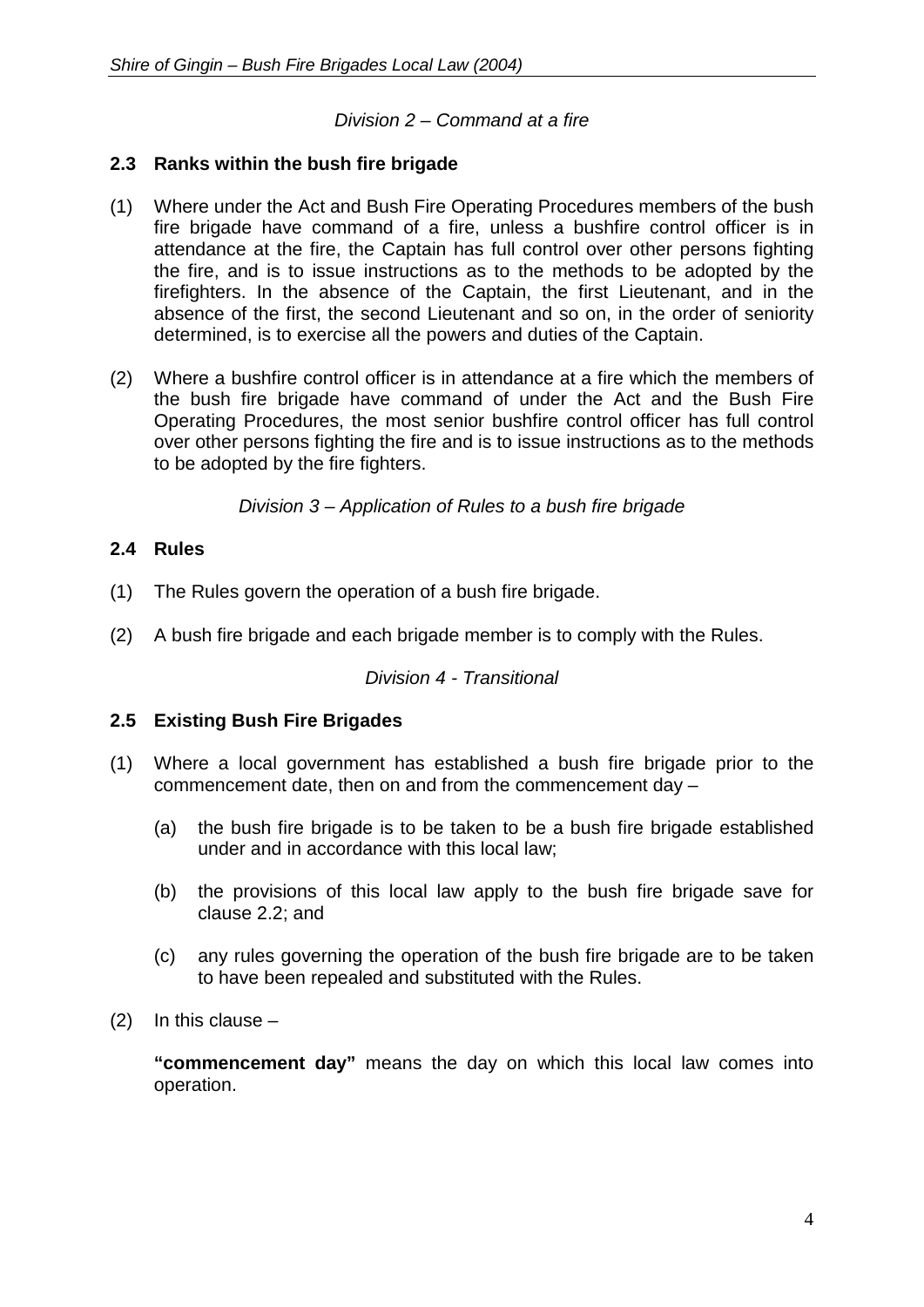# *Division 2 – Command at a fire*

#### <span id="page-7-1"></span><span id="page-7-0"></span>**2.3 Ranks within the bush fire brigade**

- (1) Where under the Act and Bush Fire Operating Procedures members of the bush fire brigade have command of a fire, unless a bushfire control officer is in attendance at the fire, the Captain has full control over other persons fighting the fire, and is to issue instructions as to the methods to be adopted by the firefighters. In the absence of the Captain, the first Lieutenant, and in the absence of the first, the second Lieutenant and so on, in the order of seniority determined, is to exercise all the powers and duties of the Captain.
- (2) Where a bushfire control officer is in attendance at a fire which the members of the bush fire brigade have command of under the Act and the Bush Fire Operating Procedures, the most senior bushfire control officer has full control over other persons fighting the fire and is to issue instructions as to the methods to be adopted by the fire fighters.

*Division 3 – Application of Rules to a bush fire brigade*

#### <span id="page-7-3"></span><span id="page-7-2"></span>**2.4 Rules**

- (1) The Rules govern the operation of a bush fire brigade.
- <span id="page-7-4"></span>(2) A bush fire brigade and each brigade member is to comply with the Rules.

#### *Division 4 - Transitional*

#### <span id="page-7-5"></span>**2.5 Existing Bush Fire Brigades**

- (1) Where a local government has established a bush fire brigade prior to the commencement date, then on and from the commencement day –
	- (a) the bush fire brigade is to be taken to be a bush fire brigade established under and in accordance with this local law;
	- (b) the provisions of this local law apply to the bush fire brigade save for clause 2.2; and
	- (c) any rules governing the operation of the bush fire brigade are to be taken to have been repealed and substituted with the Rules.
- (2) In this clause –

**"commencement day"** means the day on which this local law comes into operation.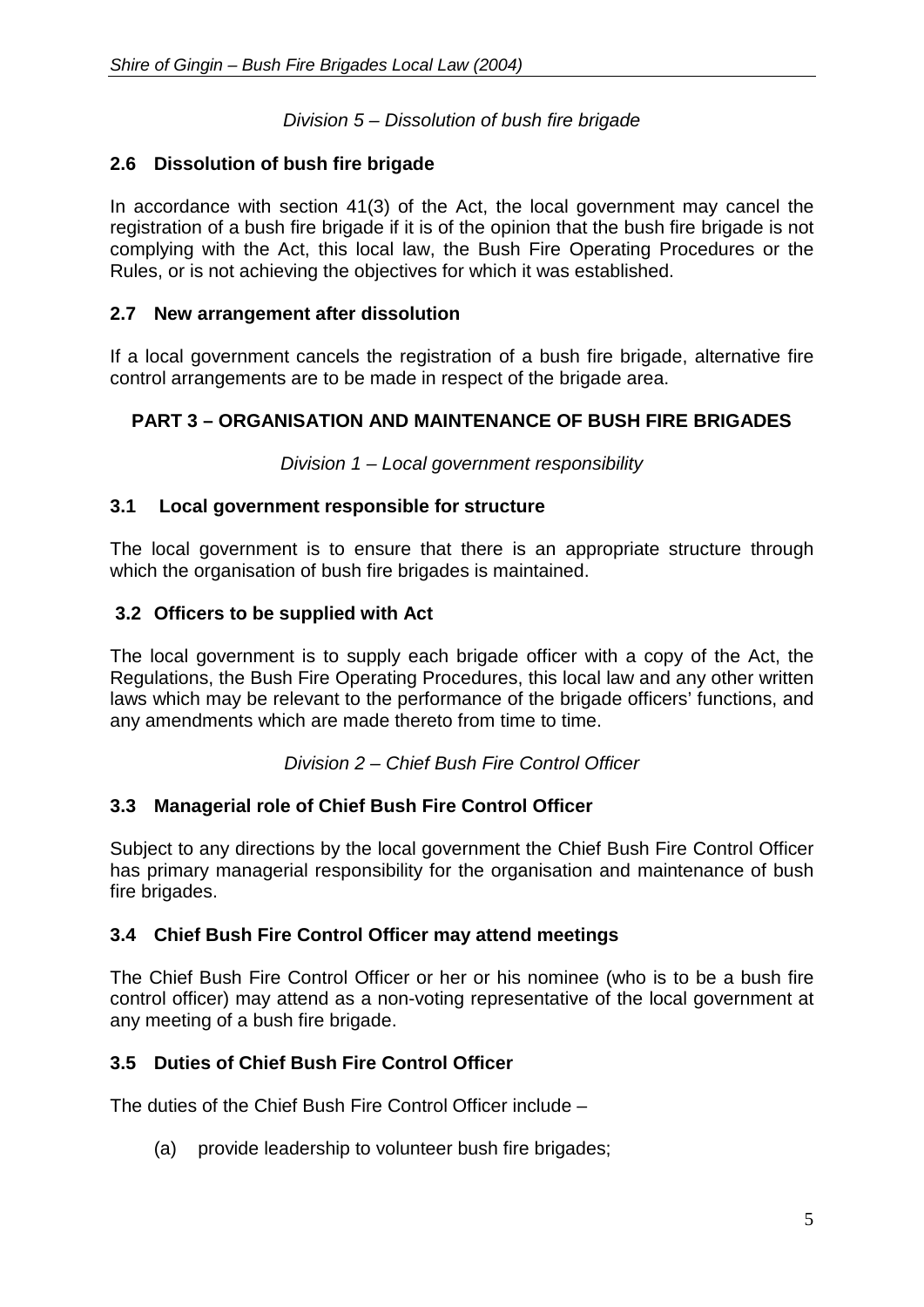# *Division 5 – Dissolution of bush fire brigade*

# <span id="page-8-1"></span><span id="page-8-0"></span>**2.6 Dissolution of bush fire brigade**

In accordance with section 41(3) of the Act, the local government may cancel the registration of a bush fire brigade if it is of the opinion that the bush fire brigade is not complying with the Act, this local law, the Bush Fire Operating Procedures or the Rules, or is not achieving the objectives for which it was established.

# <span id="page-8-2"></span>**2.7 New arrangement after dissolution**

If a local government cancels the registration of a bush fire brigade, alternative fire control arrangements are to be made in respect of the brigade area.

# <span id="page-8-3"></span>**PART 3 – ORGANISATION AND MAINTENANCE OF BUSH FIRE BRIGADES**

*Division 1 – Local government responsibility*

# <span id="page-8-5"></span><span id="page-8-4"></span>**3.1 Local government responsible for structure**

The local government is to ensure that there is an appropriate structure through which the organisation of bush fire brigades is maintained.

# <span id="page-8-6"></span>**3.2 Officers to be supplied with Act**

The local government is to supply each brigade officer with a copy of the Act, the Regulations, the Bush Fire Operating Procedures, this local law and any other written laws which may be relevant to the performance of the brigade officers' functions, and any amendments which are made thereto from time to time.

*Division 2 – Chief Bush Fire Control Officer*

# <span id="page-8-8"></span><span id="page-8-7"></span>**3.3 Managerial role of Chief Bush Fire Control Officer**

Subject to any directions by the local government the Chief Bush Fire Control Officer has primary managerial responsibility for the organisation and maintenance of bush fire brigades.

# <span id="page-8-9"></span>**3.4 Chief Bush Fire Control Officer may attend meetings**

The Chief Bush Fire Control Officer or her or his nominee (who is to be a bush fire control officer) may attend as a non-voting representative of the local government at any meeting of a bush fire brigade.

# <span id="page-8-10"></span>**3.5 Duties of Chief Bush Fire Control Officer**

The duties of the Chief Bush Fire Control Officer include –

(a) provide leadership to volunteer bush fire brigades;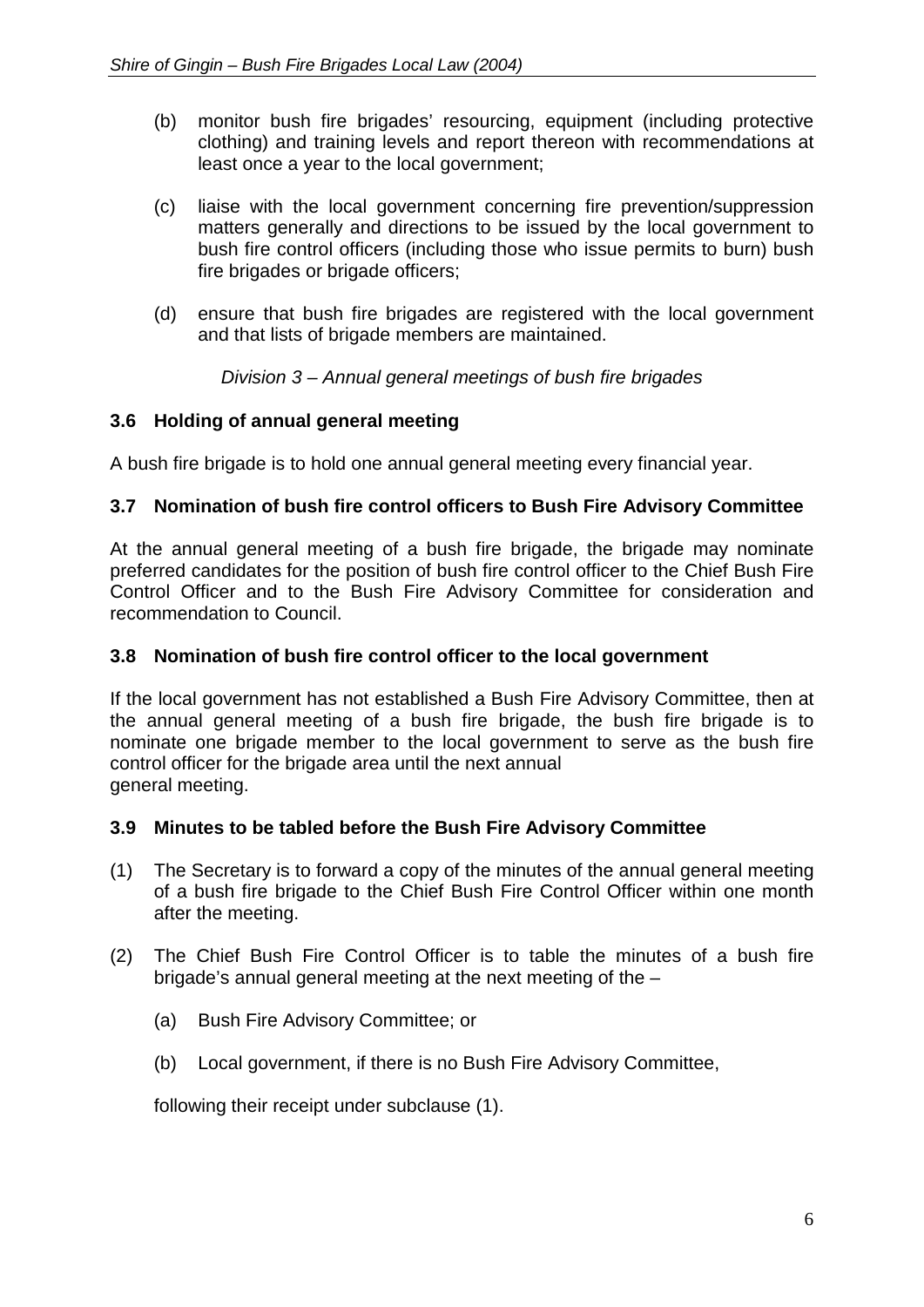- (b) monitor bush fire brigades' resourcing, equipment (including protective clothing) and training levels and report thereon with recommendations at least once a year to the local government;
- (c) liaise with the local government concerning fire prevention/suppression matters generally and directions to be issued by the local government to bush fire control officers (including those who issue permits to burn) bush fire brigades or brigade officers;
- (d) ensure that bush fire brigades are registered with the local government and that lists of brigade members are maintained.

*Division 3 – Annual general meetings of bush fire brigades*

# <span id="page-9-1"></span><span id="page-9-0"></span>**3.6 Holding of annual general meeting**

A bush fire brigade is to hold one annual general meeting every financial year.

# <span id="page-9-2"></span>**3.7 Nomination of bush fire control officers to Bush Fire Advisory Committee**

At the annual general meeting of a bush fire brigade, the brigade may nominate preferred candidates for the position of bush fire control officer to the Chief Bush Fire Control Officer and to the Bush Fire Advisory Committee for consideration and recommendation to Council.

#### <span id="page-9-3"></span>**3.8 Nomination of bush fire control officer to the local government**

If the local government has not established a Bush Fire Advisory Committee, then at the annual general meeting of a bush fire brigade, the bush fire brigade is to nominate one brigade member to the local government to serve as the bush fire control officer for the brigade area until the next annual general meeting.

#### <span id="page-9-4"></span>**3.9 Minutes to be tabled before the Bush Fire Advisory Committee**

- (1) The Secretary is to forward a copy of the minutes of the annual general meeting of a bush fire brigade to the Chief Bush Fire Control Officer within one month after the meeting.
- (2) The Chief Bush Fire Control Officer is to table the minutes of a bush fire brigade's annual general meeting at the next meeting of the –
	- (a) Bush Fire Advisory Committee; or
	- (b) Local government, if there is no Bush Fire Advisory Committee,

<span id="page-9-5"></span>following their receipt under subclause (1).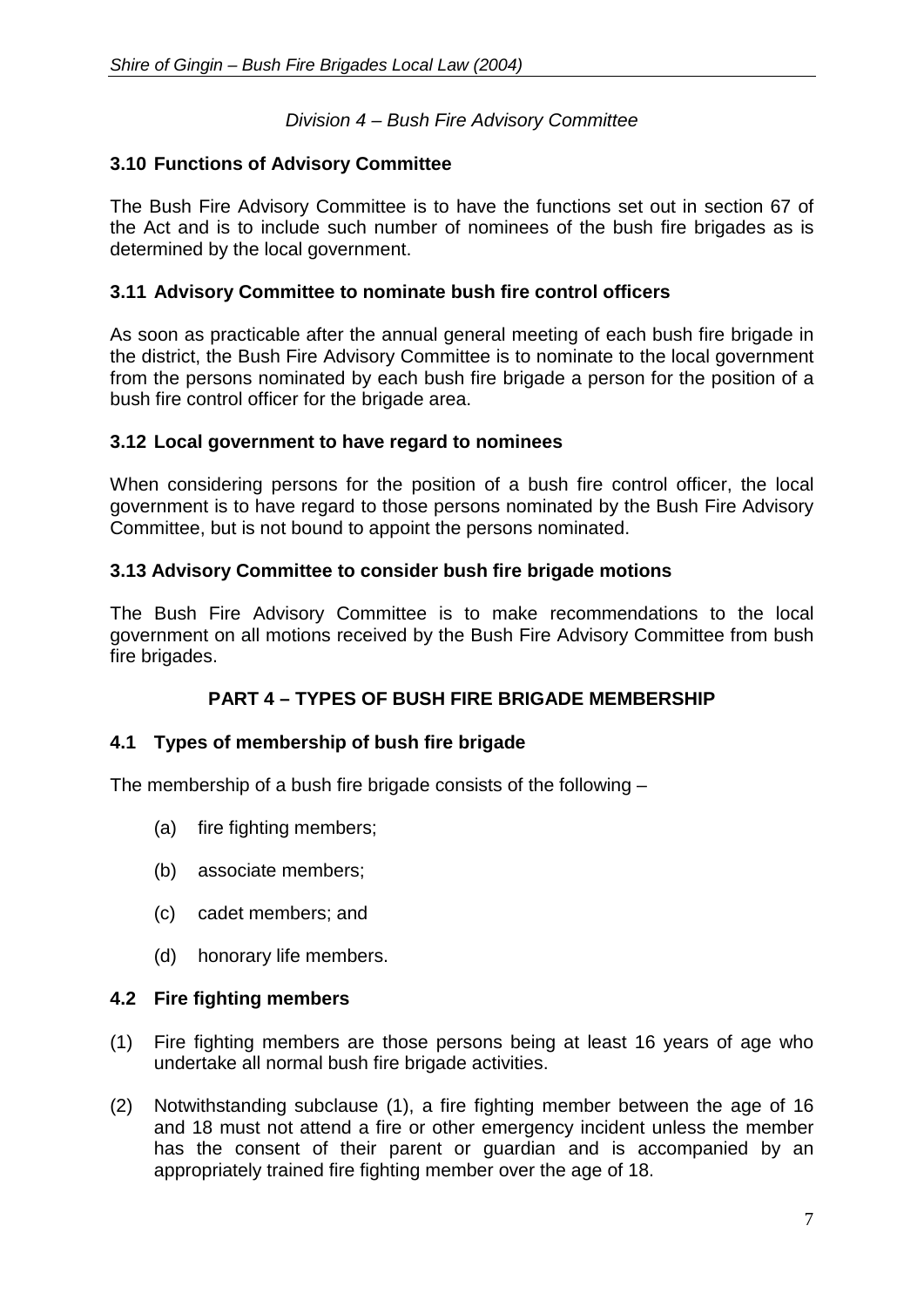# *Division 4 – Bush Fire Advisory Committee*

#### <span id="page-10-0"></span>**3.10 Functions of Advisory Committee**

The Bush Fire Advisory Committee is to have the functions set out in section 67 of the Act and is to include such number of nominees of the bush fire brigades as is determined by the local government.

#### <span id="page-10-1"></span>**3.11 Advisory Committee to nominate bush fire control officers**

As soon as practicable after the annual general meeting of each bush fire brigade in the district, the Bush Fire Advisory Committee is to nominate to the local government from the persons nominated by each bush fire brigade a person for the position of a bush fire control officer for the brigade area.

#### <span id="page-10-2"></span>**3.12 Local government to have regard to nominees**

When considering persons for the position of a bush fire control officer, the local government is to have regard to those persons nominated by the Bush Fire Advisory Committee, but is not bound to appoint the persons nominated.

#### <span id="page-10-3"></span>**3.13 Advisory Committee to consider bush fire brigade motions**

The Bush Fire Advisory Committee is to make recommendations to the local government on all motions received by the Bush Fire Advisory Committee from bush fire brigades.

# **PART 4 – TYPES OF BUSH FIRE BRIGADE MEMBERSHIP**

#### <span id="page-10-5"></span><span id="page-10-4"></span>**4.1 Types of membership of bush fire brigade**

The membership of a bush fire brigade consists of the following –

- (a) fire fighting members;
- (b) associate members;
- (c) cadet members; and
- (d) honorary life members.

#### <span id="page-10-6"></span>**4.2 Fire fighting members**

- (1) Fire fighting members are those persons being at least 16 years of age who undertake all normal bush fire brigade activities.
- (2) Notwithstanding subclause (1), a fire fighting member between the age of 16 and 18 must not attend a fire or other emergency incident unless the member has the consent of their parent or guardian and is accompanied by an appropriately trained fire fighting member over the age of 18.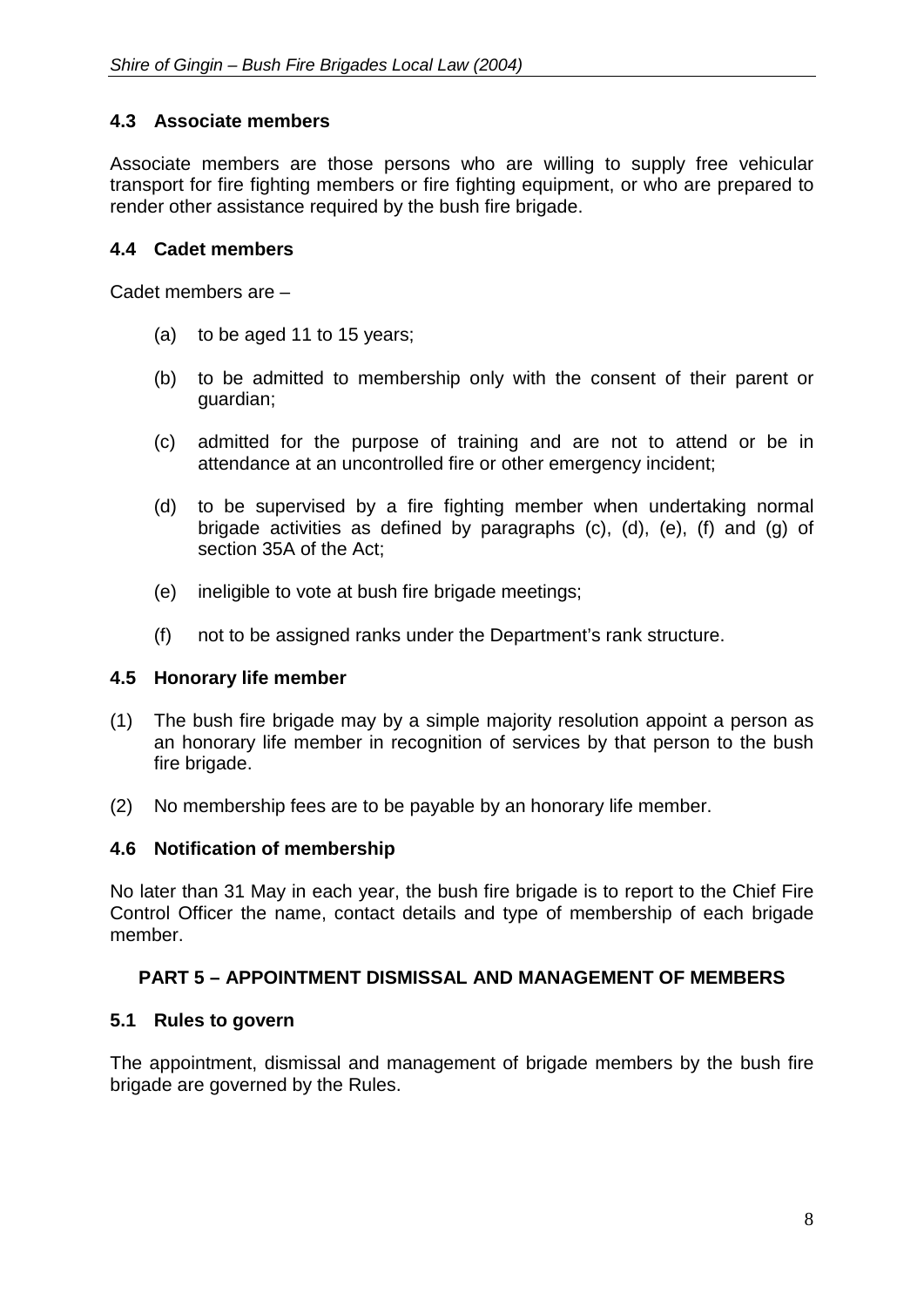# <span id="page-11-0"></span>**4.3 Associate members**

Associate members are those persons who are willing to supply free vehicular transport for fire fighting members or fire fighting equipment, or who are prepared to render other assistance required by the bush fire brigade.

#### <span id="page-11-1"></span>**4.4 Cadet members**

Cadet members are –

- (a) to be aged 11 to 15 years;
- (b) to be admitted to membership only with the consent of their parent or guardian;
- (c) admitted for the purpose of training and are not to attend or be in attendance at an uncontrolled fire or other emergency incident;
- (d) to be supervised by a fire fighting member when undertaking normal brigade activities as defined by paragraphs (c), (d), (e), (f) and (g) of section 35A of the Act;
- (e) ineligible to vote at bush fire brigade meetings;
- (f) not to be assigned ranks under the Department's rank structure.

#### <span id="page-11-2"></span>**4.5 Honorary life member**

- (1) The bush fire brigade may by a simple majority resolution appoint a person as an honorary life member in recognition of services by that person to the bush fire brigade.
- (2) No membership fees are to be payable by an honorary life member.

#### <span id="page-11-3"></span>**4.6 Notification of membership**

No later than 31 May in each year, the bush fire brigade is to report to the Chief Fire Control Officer the name, contact details and type of membership of each brigade member.

#### <span id="page-11-4"></span>**PART 5 – APPOINTMENT DISMISSAL AND MANAGEMENT OF MEMBERS**

#### <span id="page-11-5"></span>**5.1 Rules to govern**

<span id="page-11-6"></span>The appointment, dismissal and management of brigade members by the bush fire brigade are governed by the Rules.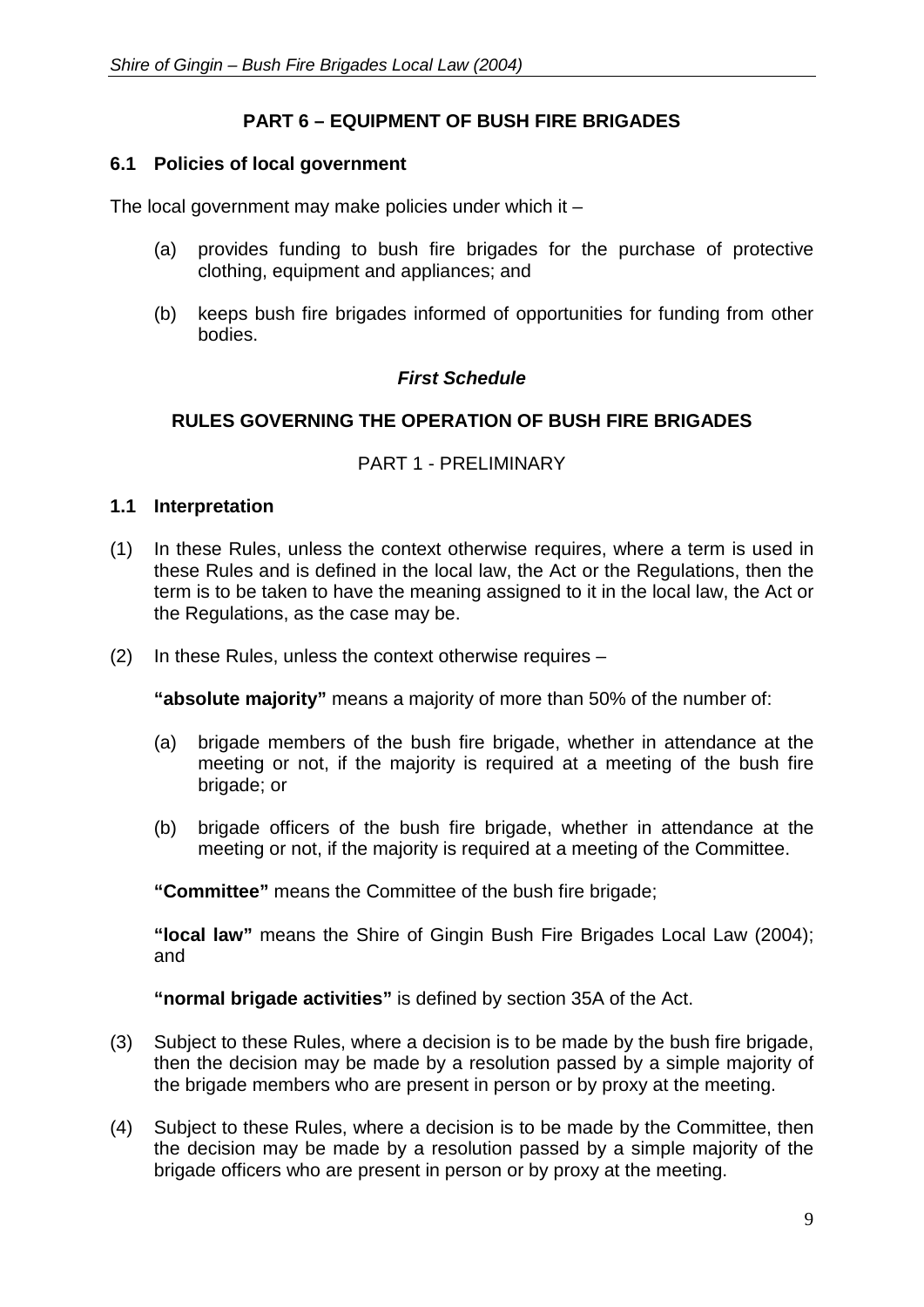# **PART 6 – EQUIPMENT OF BUSH FIRE BRIGADES**

#### <span id="page-12-0"></span>**6.1 Policies of local government**

The local government may make policies under which it –

- (a) provides funding to bush fire brigades for the purchase of protective clothing, equipment and appliances; and
- (b) keeps bush fire brigades informed of opportunities for funding from other bodies.

#### *First Schedule*

#### <span id="page-12-2"></span><span id="page-12-1"></span>**RULES GOVERNING THE OPERATION OF BUSH FIRE BRIGADES**

#### PART 1 - PRELIMINARY

#### <span id="page-12-3"></span>**1.1 Interpretation**

- (1) In these Rules, unless the context otherwise requires, where a term is used in these Rules and is defined in the local law, the Act or the Regulations, then the term is to be taken to have the meaning assigned to it in the local law, the Act or the Regulations, as the case may be.
- (2) In these Rules, unless the context otherwise requires –

**"absolute majority"** means a majority of more than 50% of the number of:

- (a) brigade members of the bush fire brigade, whether in attendance at the meeting or not, if the majority is required at a meeting of the bush fire brigade; or
- (b) brigade officers of the bush fire brigade, whether in attendance at the meeting or not, if the majority is required at a meeting of the Committee.

**"Committee"** means the Committee of the bush fire brigade;

**"local law"** means the Shire of Gingin Bush Fire Brigades Local Law (2004); and

**"normal brigade activities"** is defined by section 35A of the Act.

- (3) Subject to these Rules, where a decision is to be made by the bush fire brigade, then the decision may be made by a resolution passed by a simple majority of the brigade members who are present in person or by proxy at the meeting.
- (4) Subject to these Rules, where a decision is to be made by the Committee, then the decision may be made by a resolution passed by a simple majority of the brigade officers who are present in person or by proxy at the meeting.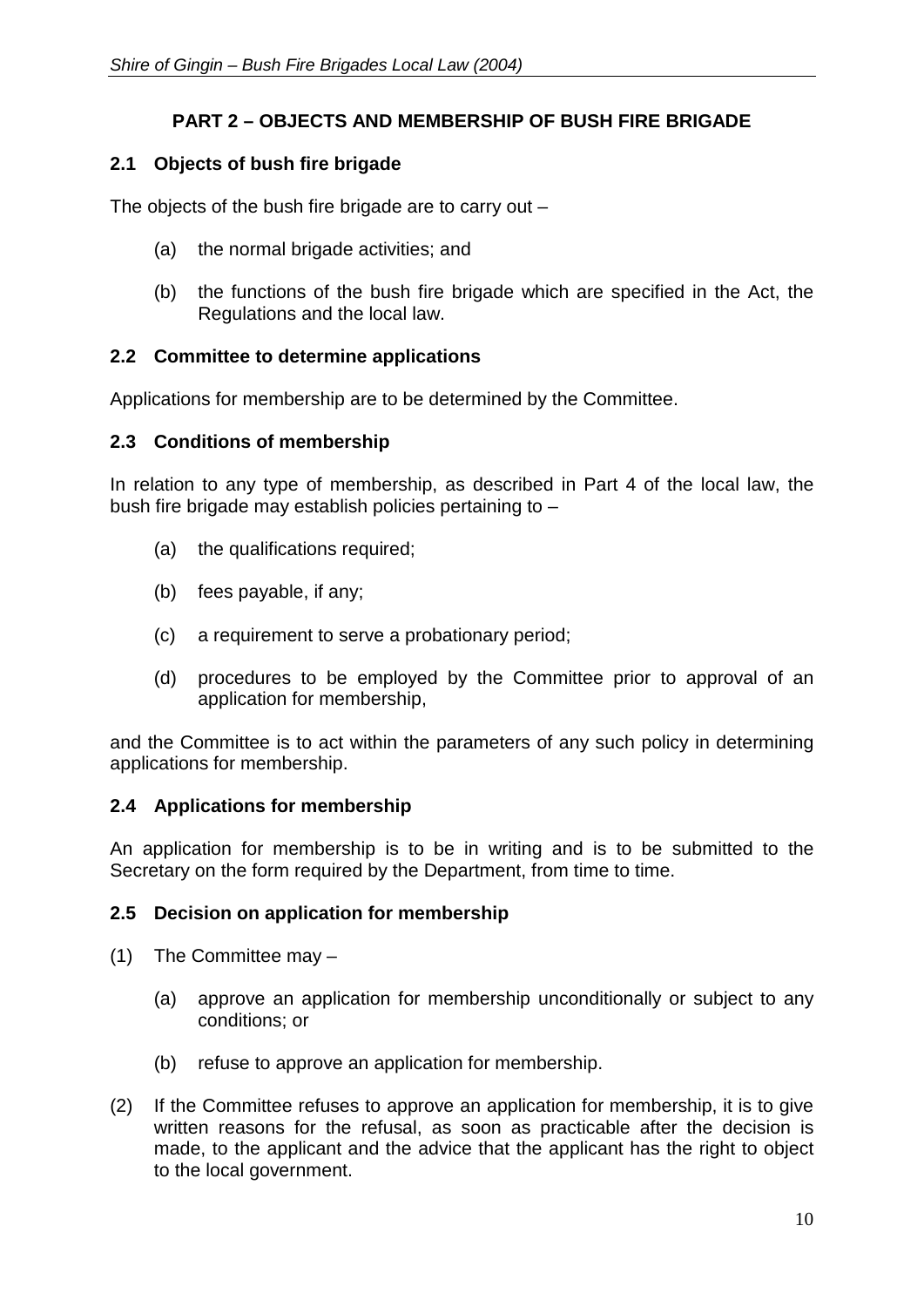# **PART 2 – OBJECTS AND MEMBERSHIP OF BUSH FIRE BRIGADE**

# <span id="page-13-0"></span>**2.1 Objects of bush fire brigade**

The objects of the bush fire brigade are to carry out –

- (a) the normal brigade activities; and
- (b) the functions of the bush fire brigade which are specified in the Act, the Regulations and the local law.

#### <span id="page-13-1"></span>**2.2 Committee to determine applications**

Applications for membership are to be determined by the Committee.

#### <span id="page-13-2"></span>**2.3 Conditions of membership**

In relation to any type of membership, as described in Part 4 of the local law, the bush fire brigade may establish policies pertaining to –

- (a) the qualifications required;
- (b) fees payable, if any;
- (c) a requirement to serve a probationary period;
- (d) procedures to be employed by the Committee prior to approval of an application for membership,

and the Committee is to act within the parameters of any such policy in determining applications for membership.

#### <span id="page-13-3"></span>**2.4 Applications for membership**

An application for membership is to be in writing and is to be submitted to the Secretary on the form required by the Department, from time to time.

# <span id="page-13-4"></span>**2.5 Decision on application for membership**

- (1) The Committee may
	- (a) approve an application for membership unconditionally or subject to any conditions; or
	- (b) refuse to approve an application for membership.
- (2) If the Committee refuses to approve an application for membership, it is to give written reasons for the refusal, as soon as practicable after the decision is made, to the applicant and the advice that the applicant has the right to object to the local government.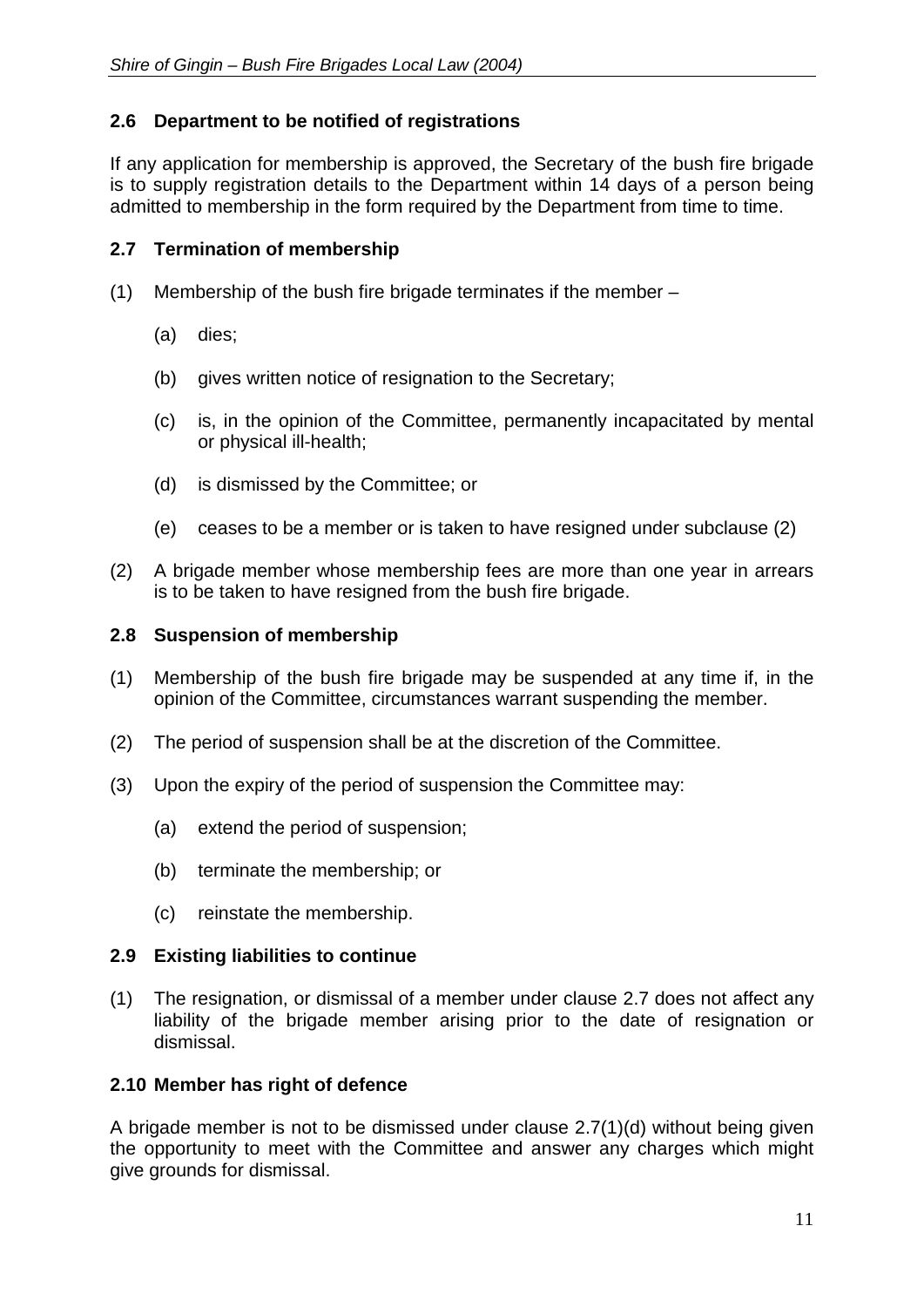# <span id="page-14-0"></span>**2.6 Department to be notified of registrations**

If any application for membership is approved, the Secretary of the bush fire brigade is to supply registration details to the Department within 14 days of a person being admitted to membership in the form required by the Department from time to time.

#### <span id="page-14-1"></span>**2.7 Termination of membership**

- (1) Membership of the bush fire brigade terminates if the member
	- (a) dies;
	- (b) gives written notice of resignation to the Secretary;
	- (c) is, in the opinion of the Committee, permanently incapacitated by mental or physical ill-health;
	- (d) is dismissed by the Committee; or
	- (e) ceases to be a member or is taken to have resigned under subclause (2)
- (2) A brigade member whose membership fees are more than one year in arrears is to be taken to have resigned from the bush fire brigade.

#### <span id="page-14-2"></span>**2.8 Suspension of membership**

- (1) Membership of the bush fire brigade may be suspended at any time if, in the opinion of the Committee, circumstances warrant suspending the member.
- (2) The period of suspension shall be at the discretion of the Committee.
- (3) Upon the expiry of the period of suspension the Committee may:
	- (a) extend the period of suspension;
	- (b) terminate the membership; or
	- (c) reinstate the membership.

#### <span id="page-14-3"></span>**2.9 Existing liabilities to continue**

(1) The resignation, or dismissal of a member under clause 2.7 does not affect any liability of the brigade member arising prior to the date of resignation or dismissal.

#### <span id="page-14-4"></span>**2.10 Member has right of defence**

A brigade member is not to be dismissed under clause 2.7(1)(d) without being given the opportunity to meet with the Committee and answer any charges which might give grounds for dismissal.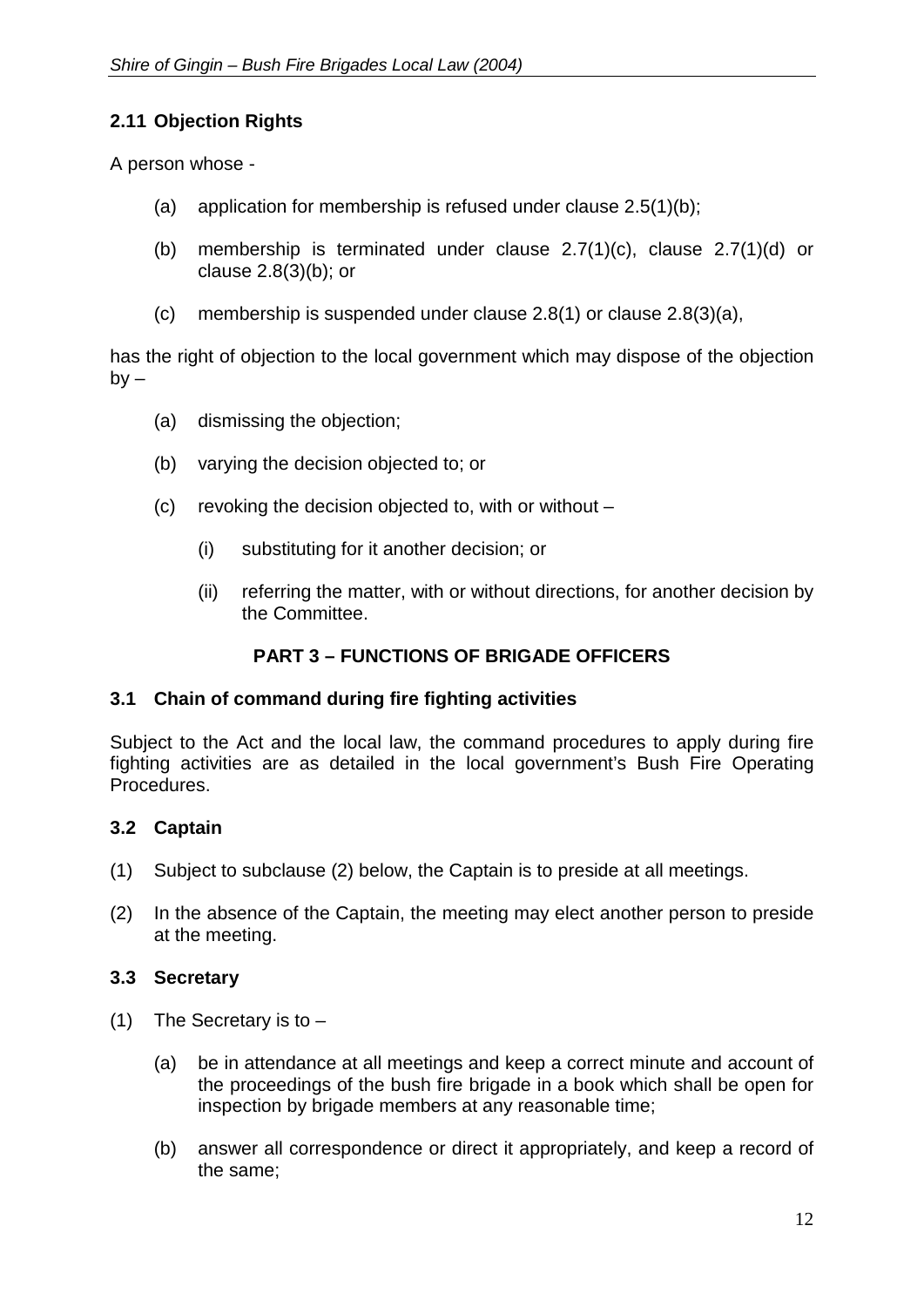# <span id="page-15-0"></span>**2.11 Objection Rights**

A person whose -

- (a) application for membership is refused under clause 2.5(1)(b);
- (b) membership is terminated under clause 2.7(1)(c), clause 2.7(1)(d) or clause 2.8(3)(b); or
- (c) membership is suspended under clause 2.8(1) or clause 2.8(3)(a),

has the right of objection to the local government which may dispose of the objection  $by -$ 

- (a) dismissing the objection;
- (b) varying the decision objected to; or
- (c) revoking the decision objected to, with or without
	- (i) substituting for it another decision; or
	- (ii) referring the matter, with or without directions, for another decision by the Committee.

# **PART 3 – FUNCTIONS OF BRIGADE OFFICERS**

#### <span id="page-15-1"></span>**3.1 Chain of command during fire fighting activities**

Subject to the Act and the local law, the command procedures to apply during fire fighting activities are as detailed in the local government's Bush Fire Operating Procedures.

#### <span id="page-15-2"></span>**3.2 Captain**

- (1) Subject to subclause (2) below, the Captain is to preside at all meetings.
- (2) In the absence of the Captain, the meeting may elect another person to preside at the meeting.

#### <span id="page-15-3"></span>**3.3 Secretary**

- (1) The Secretary is to  $-$ 
	- (a) be in attendance at all meetings and keep a correct minute and account of the proceedings of the bush fire brigade in a book which shall be open for inspection by brigade members at any reasonable time;
	- (b) answer all correspondence or direct it appropriately, and keep a record of the same;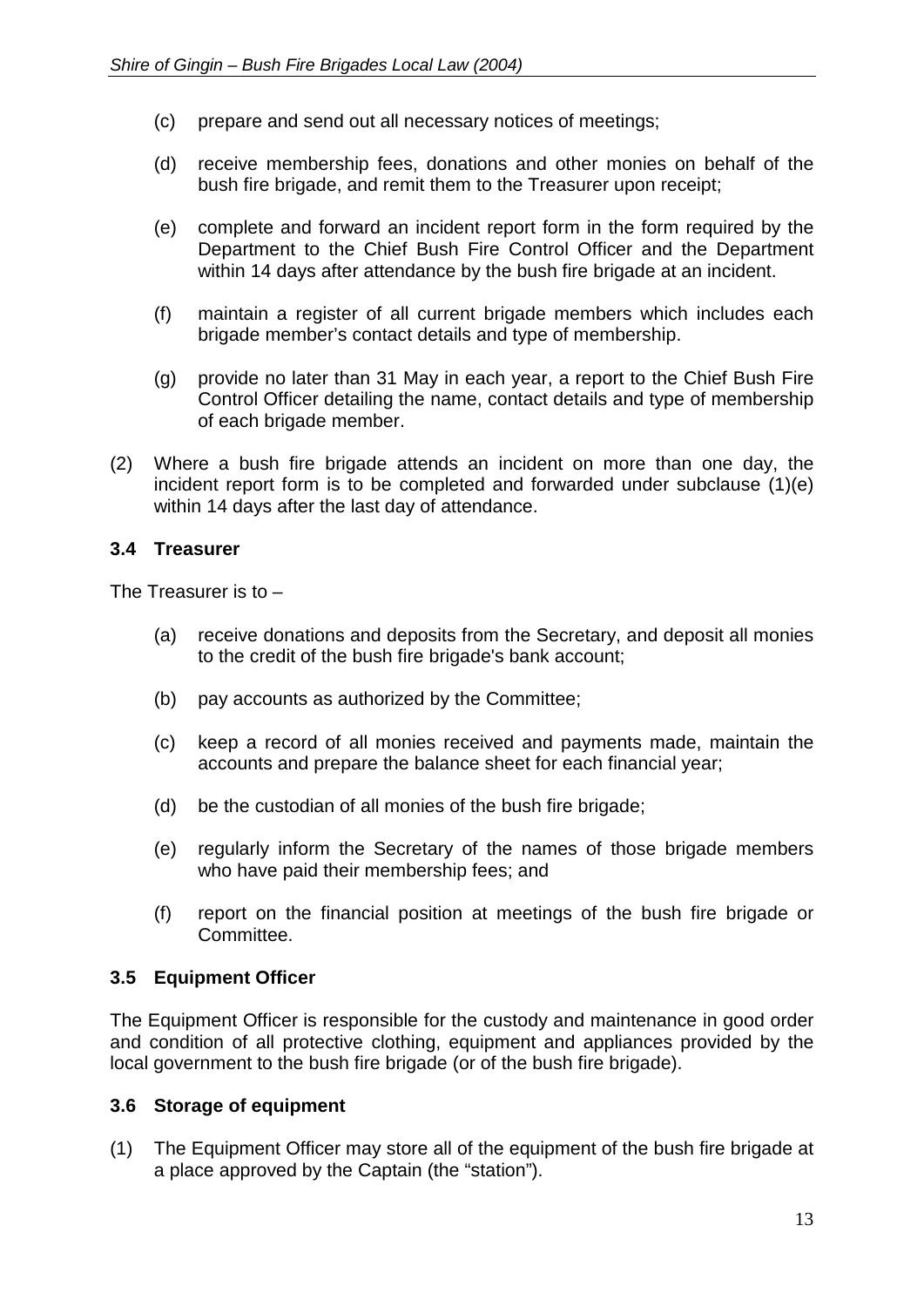- (c) prepare and send out all necessary notices of meetings;
- (d) receive membership fees, donations and other monies on behalf of the bush fire brigade, and remit them to the Treasurer upon receipt;
- (e) complete and forward an incident report form in the form required by the Department to the Chief Bush Fire Control Officer and the Department within 14 days after attendance by the bush fire brigade at an incident.
- (f) maintain a register of all current brigade members which includes each brigade member's contact details and type of membership.
- (g) provide no later than 31 May in each year, a report to the Chief Bush Fire Control Officer detailing the name, contact details and type of membership of each brigade member.
- (2) Where a bush fire brigade attends an incident on more than one day, the incident report form is to be completed and forwarded under subclause (1)(e) within 14 days after the last day of attendance.

#### <span id="page-16-0"></span>**3.4 Treasurer**

The Treasurer is to –

- (a) receive donations and deposits from the Secretary, and deposit all monies to the credit of the bush fire brigade's bank account;
- (b) pay accounts as authorized by the Committee;
- (c) keep a record of all monies received and payments made, maintain the accounts and prepare the balance sheet for each financial year;
- (d) be the custodian of all monies of the bush fire brigade;
- (e) regularly inform the Secretary of the names of those brigade members who have paid their membership fees; and
- (f) report on the financial position at meetings of the bush fire brigade or Committee.

# <span id="page-16-1"></span>**3.5 Equipment Officer**

The Equipment Officer is responsible for the custody and maintenance in good order and condition of all protective clothing, equipment and appliances provided by the local government to the bush fire brigade (or of the bush fire brigade).

#### <span id="page-16-2"></span>**3.6 Storage of equipment**

(1) The Equipment Officer may store all of the equipment of the bush fire brigade at a place approved by the Captain (the "station").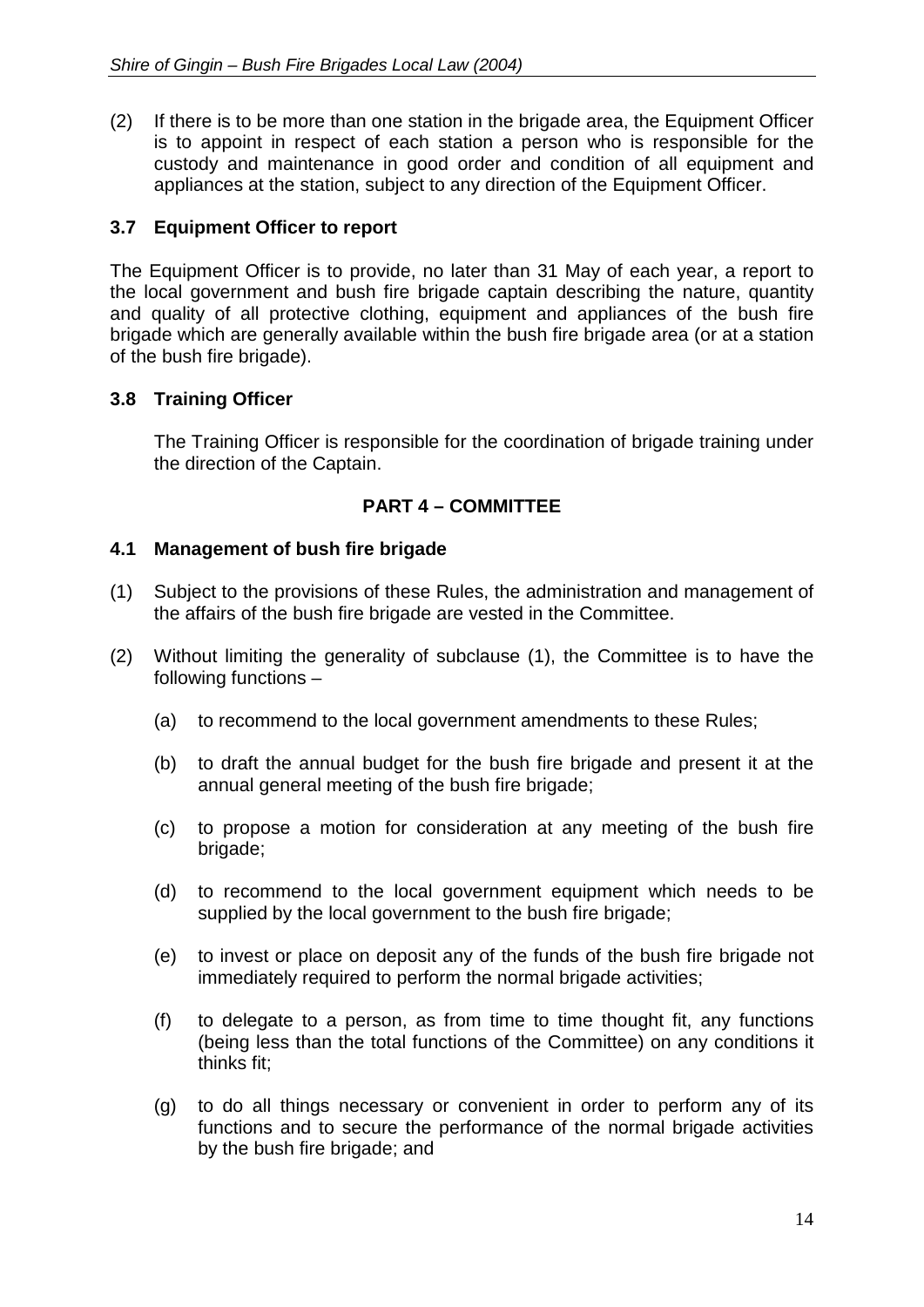(2) If there is to be more than one station in the brigade area, the Equipment Officer is to appoint in respect of each station a person who is responsible for the custody and maintenance in good order and condition of all equipment and appliances at the station, subject to any direction of the Equipment Officer.

# <span id="page-17-0"></span>**3.7 Equipment Officer to report**

The Equipment Officer is to provide, no later than 31 May of each year, a report to the local government and bush fire brigade captain describing the nature, quantity and quality of all protective clothing, equipment and appliances of the bush fire brigade which are generally available within the bush fire brigade area (or at a station of the bush fire brigade).

# **3.8 Training Officer**

The Training Officer is responsible for the coordination of brigade training under the direction of the Captain.

# **PART 4 – COMMITTEE**

# <span id="page-17-1"></span>**4.1 Management of bush fire brigade**

- (1) Subject to the provisions of these Rules, the administration and management of the affairs of the bush fire brigade are vested in the Committee.
- (2) Without limiting the generality of subclause (1), the Committee is to have the following functions –
	- (a) to recommend to the local government amendments to these Rules;
	- (b) to draft the annual budget for the bush fire brigade and present it at the annual general meeting of the bush fire brigade;
	- (c) to propose a motion for consideration at any meeting of the bush fire brigade;
	- (d) to recommend to the local government equipment which needs to be supplied by the local government to the bush fire brigade;
	- (e) to invest or place on deposit any of the funds of the bush fire brigade not immediately required to perform the normal brigade activities;
	- (f) to delegate to a person, as from time to time thought fit, any functions (being less than the total functions of the Committee) on any conditions it thinks fit;
	- (g) to do all things necessary or convenient in order to perform any of its functions and to secure the performance of the normal brigade activities by the bush fire brigade; and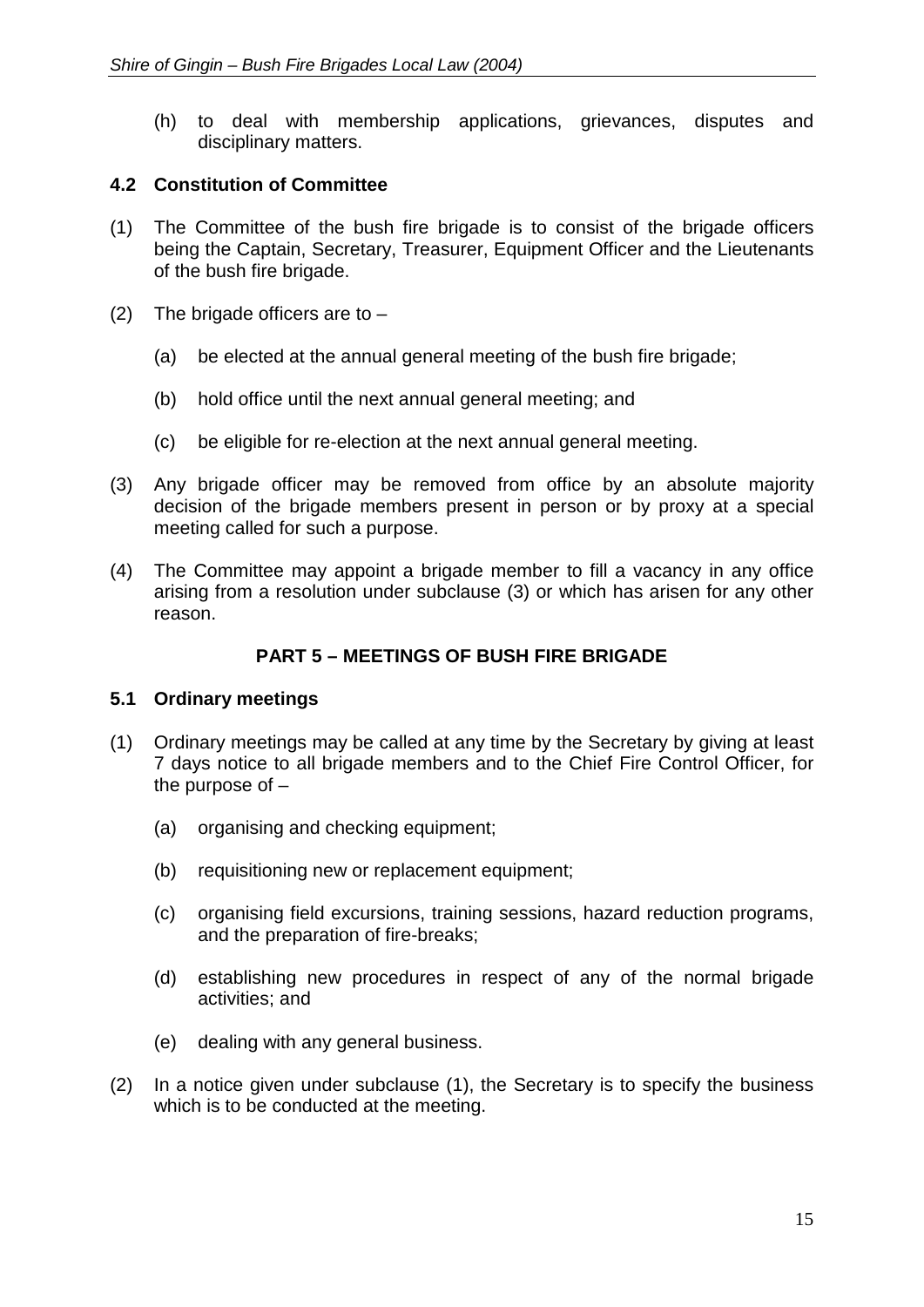(h) to deal with membership applications, grievances, disputes and disciplinary matters.

# <span id="page-18-0"></span>**4.2 Constitution of Committee**

- (1) The Committee of the bush fire brigade is to consist of the brigade officers being the Captain, Secretary, Treasurer, Equipment Officer and the Lieutenants of the bush fire brigade.
- (2) The brigade officers are to  $-$ 
	- (a) be elected at the annual general meeting of the bush fire brigade;
	- (b) hold office until the next annual general meeting; and
	- (c) be eligible for re-election at the next annual general meeting.
- (3) Any brigade officer may be removed from office by an absolute majority decision of the brigade members present in person or by proxy at a special meeting called for such a purpose.
- (4) The Committee may appoint a brigade member to fill a vacancy in any office arising from a resolution under subclause (3) or which has arisen for any other reason.

# **PART 5 – MEETINGS OF BUSH FIRE BRIGADE**

#### <span id="page-18-1"></span>**5.1 Ordinary meetings**

- (1) Ordinary meetings may be called at any time by the Secretary by giving at least 7 days notice to all brigade members and to the Chief Fire Control Officer, for the purpose of –
	- (a) organising and checking equipment;
	- (b) requisitioning new or replacement equipment;
	- (c) organising field excursions, training sessions, hazard reduction programs, and the preparation of fire-breaks;
	- (d) establishing new procedures in respect of any of the normal brigade activities; and
	- (e) dealing with any general business.
- (2) In a notice given under subclause (1), the Secretary is to specify the business which is to be conducted at the meeting.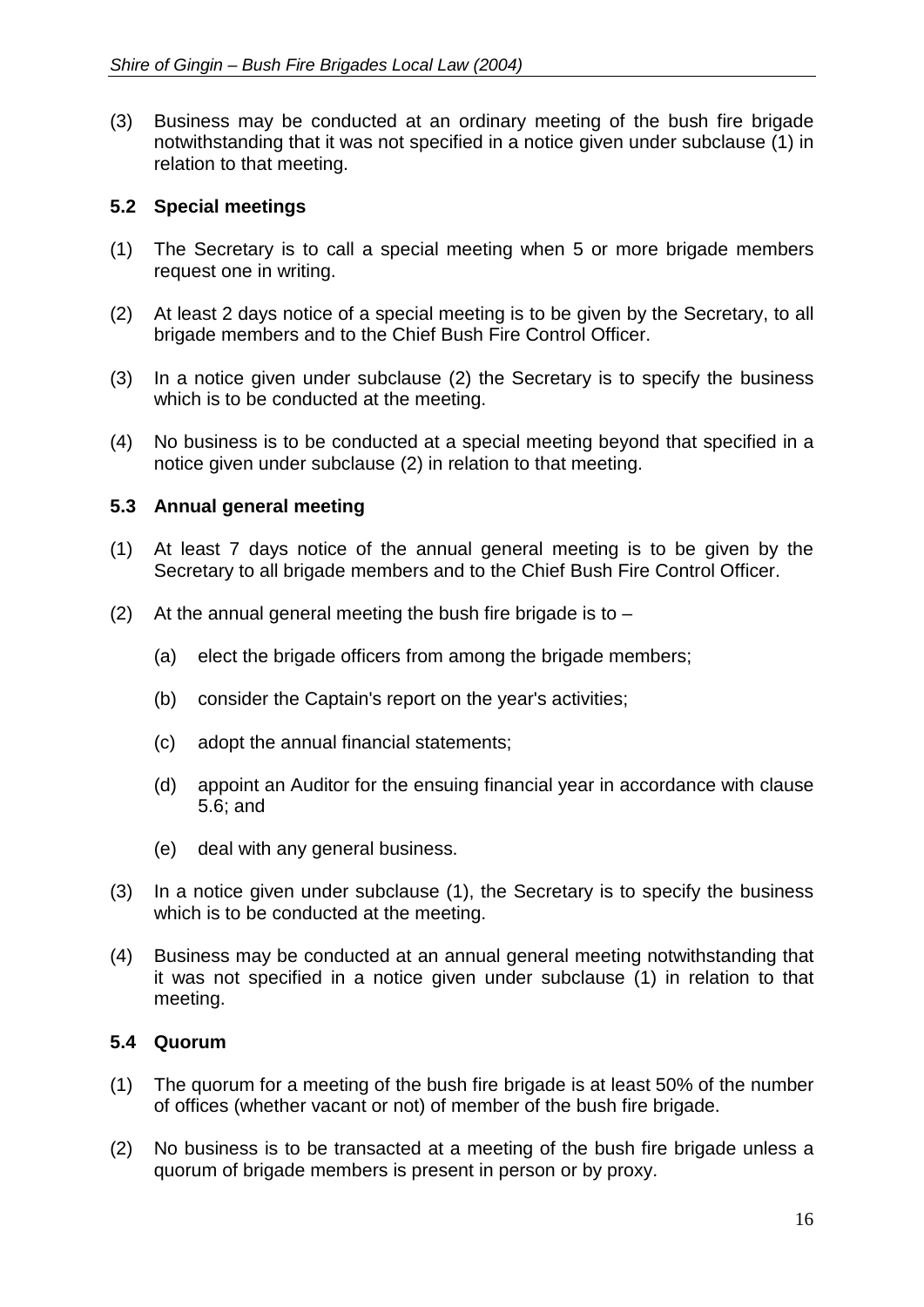(3) Business may be conducted at an ordinary meeting of the bush fire brigade notwithstanding that it was not specified in a notice given under subclause (1) in relation to that meeting.

# <span id="page-19-0"></span>**5.2 Special meetings**

- (1) The Secretary is to call a special meeting when 5 or more brigade members request one in writing.
- (2) At least 2 days notice of a special meeting is to be given by the Secretary, to all brigade members and to the Chief Bush Fire Control Officer.
- (3) In a notice given under subclause (2) the Secretary is to specify the business which is to be conducted at the meeting.
- (4) No business is to be conducted at a special meeting beyond that specified in a notice given under subclause (2) in relation to that meeting.

#### <span id="page-19-1"></span>**5.3 Annual general meeting**

- (1) At least 7 days notice of the annual general meeting is to be given by the Secretary to all brigade members and to the Chief Bush Fire Control Officer.
- (2) At the annual general meeting the bush fire brigade is to  $-$ 
	- (a) elect the brigade officers from among the brigade members;
	- (b) consider the Captain's report on the year's activities;
	- (c) adopt the annual financial statements;
	- (d) appoint an Auditor for the ensuing financial year in accordance with clause 5.6; and
	- (e) deal with any general business.
- (3) In a notice given under subclause (1), the Secretary is to specify the business which is to be conducted at the meeting.
- (4) Business may be conducted at an annual general meeting notwithstanding that it was not specified in a notice given under subclause (1) in relation to that meeting.

#### <span id="page-19-2"></span>**5.4 Quorum**

- (1) The quorum for a meeting of the bush fire brigade is at least 50% of the number of offices (whether vacant or not) of member of the bush fire brigade.
- (2) No business is to be transacted at a meeting of the bush fire brigade unless a quorum of brigade members is present in person or by proxy.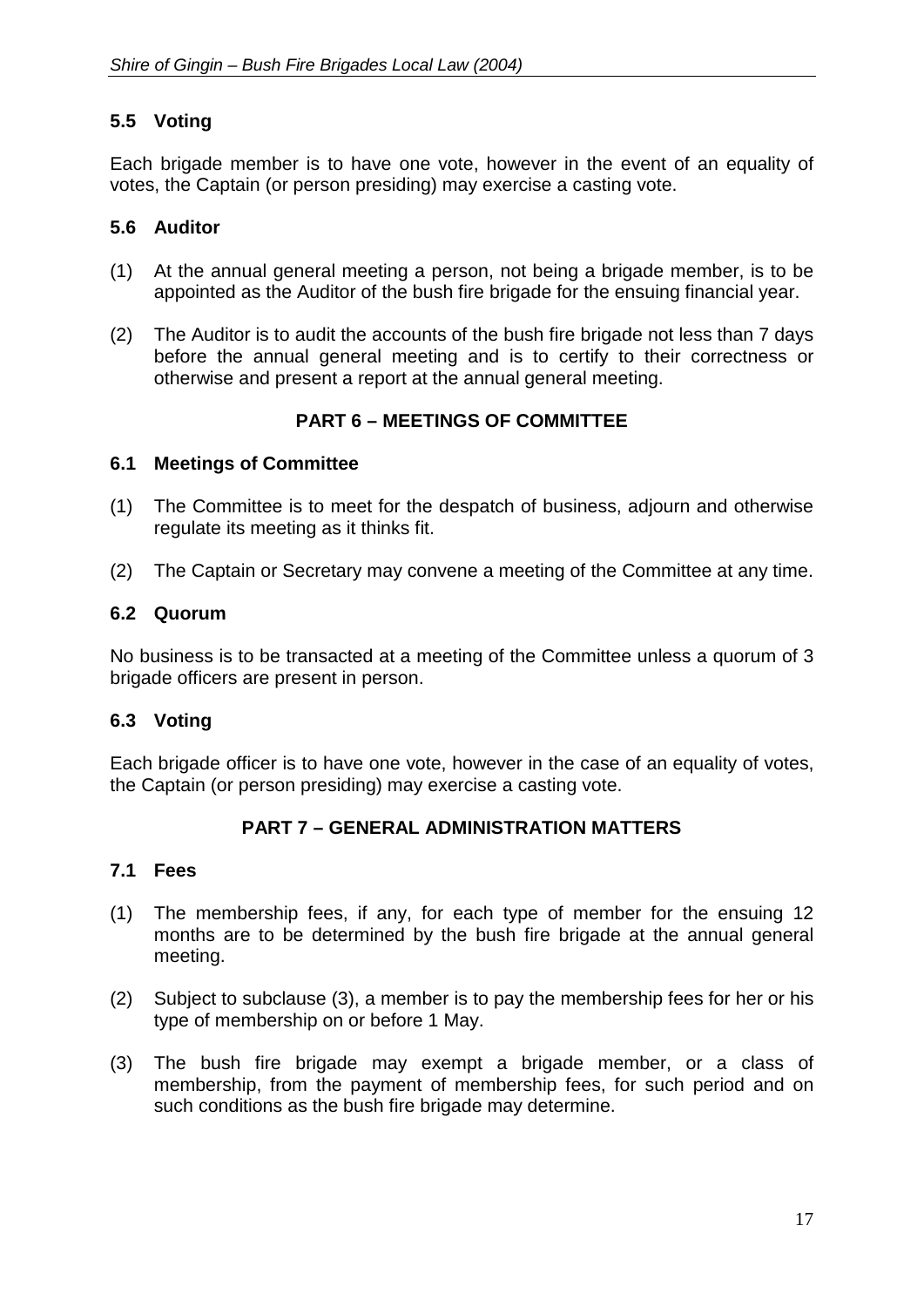# <span id="page-20-0"></span>**5.5 Voting**

Each brigade member is to have one vote, however in the event of an equality of votes, the Captain (or person presiding) may exercise a casting vote.

#### <span id="page-20-1"></span>**5.6 Auditor**

- (1) At the annual general meeting a person, not being a brigade member, is to be appointed as the Auditor of the bush fire brigade for the ensuing financial year.
- (2) The Auditor is to audit the accounts of the bush fire brigade not less than 7 days before the annual general meeting and is to certify to their correctness or otherwise and present a report at the annual general meeting.

# **PART 6 – MEETINGS OF COMMITTEE**

#### <span id="page-20-2"></span>**6.1 Meetings of Committee**

- (1) The Committee is to meet for the despatch of business, adjourn and otherwise regulate its meeting as it thinks fit.
- (2) The Captain or Secretary may convene a meeting of the Committee at any time.

#### <span id="page-20-3"></span>**6.2 Quorum**

No business is to be transacted at a meeting of the Committee unless a quorum of 3 brigade officers are present in person.

#### <span id="page-20-4"></span>**6.3 Voting**

Each brigade officer is to have one vote, however in the case of an equality of votes, the Captain (or person presiding) may exercise a casting vote.

# **PART 7 – GENERAL ADMINISTRATION MATTERS**

#### <span id="page-20-5"></span>**7.1 Fees**

- (1) The membership fees, if any, for each type of member for the ensuing 12 months are to be determined by the bush fire brigade at the annual general meeting.
- (2) Subject to subclause (3), a member is to pay the membership fees for her or his type of membership on or before 1 May.
- <span id="page-20-6"></span>(3) The bush fire brigade may exempt a brigade member, or a class of membership, from the payment of membership fees, for such period and on such conditions as the bush fire brigade may determine.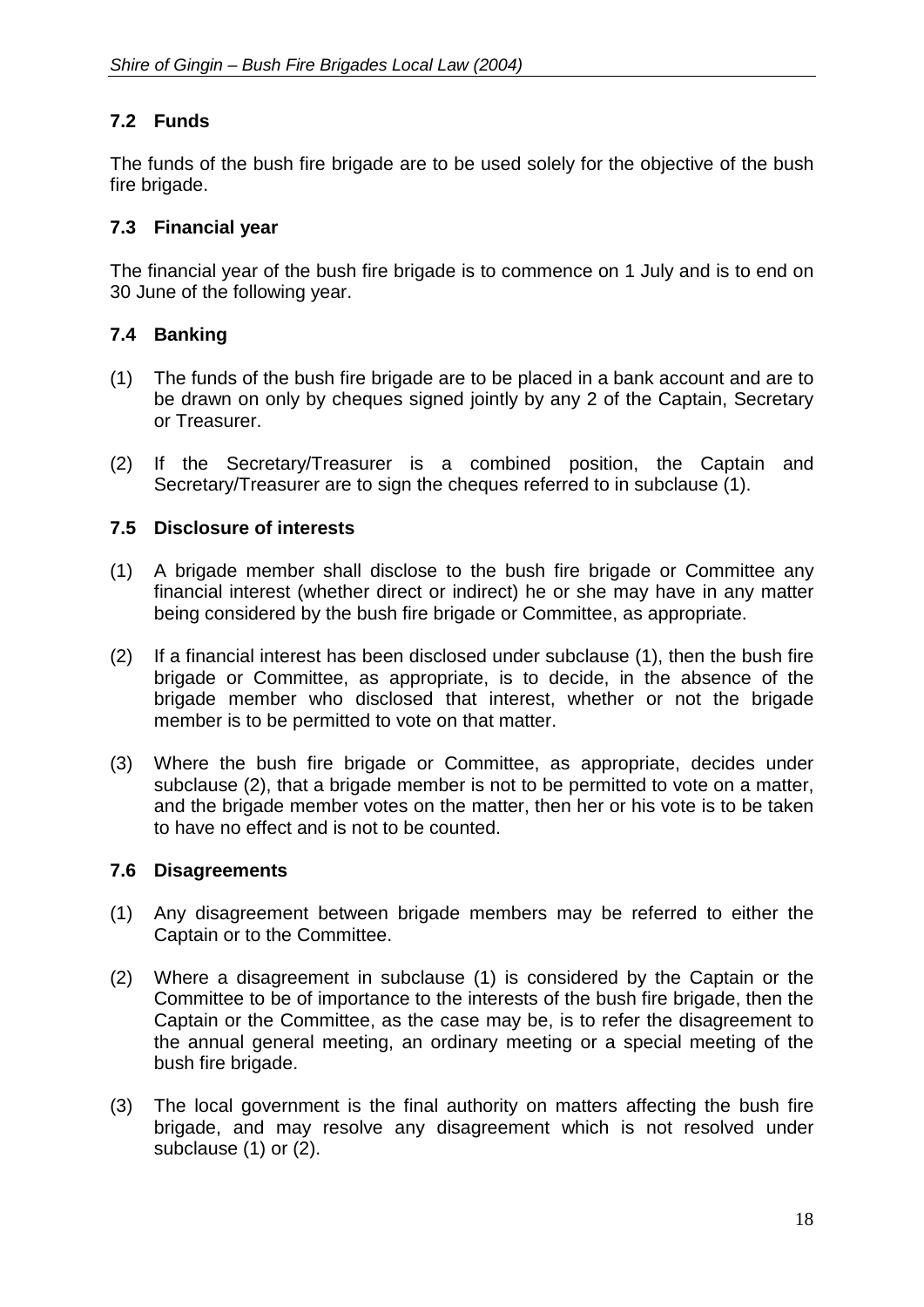# **7.2 Funds**

The funds of the bush fire brigade are to be used solely for the objective of the bush fire brigade.

# <span id="page-21-0"></span>**7.3 Financial year**

The financial year of the bush fire brigade is to commence on 1 July and is to end on 30 June of the following year.

# <span id="page-21-1"></span>**7.4 Banking**

- (1) The funds of the bush fire brigade are to be placed in a bank account and are to be drawn on only by cheques signed jointly by any 2 of the Captain, Secretary or Treasurer.
- (2) If the Secretary/Treasurer is a combined position, the Captain and Secretary/Treasurer are to sign the cheques referred to in subclause (1).

#### <span id="page-21-2"></span>**7.5 Disclosure of interests**

- (1) A brigade member shall disclose to the bush fire brigade or Committee any financial interest (whether direct or indirect) he or she may have in any matter being considered by the bush fire brigade or Committee, as appropriate.
- (2) If a financial interest has been disclosed under subclause (1), then the bush fire brigade or Committee, as appropriate, is to decide, in the absence of the brigade member who disclosed that interest, whether or not the brigade member is to be permitted to vote on that matter.
- (3) Where the bush fire brigade or Committee, as appropriate, decides under subclause (2), that a brigade member is not to be permitted to vote on a matter, and the brigade member votes on the matter, then her or his vote is to be taken to have no effect and is not to be counted.

#### <span id="page-21-3"></span>**7.6 Disagreements**

- (1) Any disagreement between brigade members may be referred to either the Captain or to the Committee.
- (2) Where a disagreement in subclause (1) is considered by the Captain or the Committee to be of importance to the interests of the bush fire brigade, then the Captain or the Committee, as the case may be, is to refer the disagreement to the annual general meeting, an ordinary meeting or a special meeting of the bush fire brigade.
- (3) The local government is the final authority on matters affecting the bush fire brigade, and may resolve any disagreement which is not resolved under subclause (1) or (2).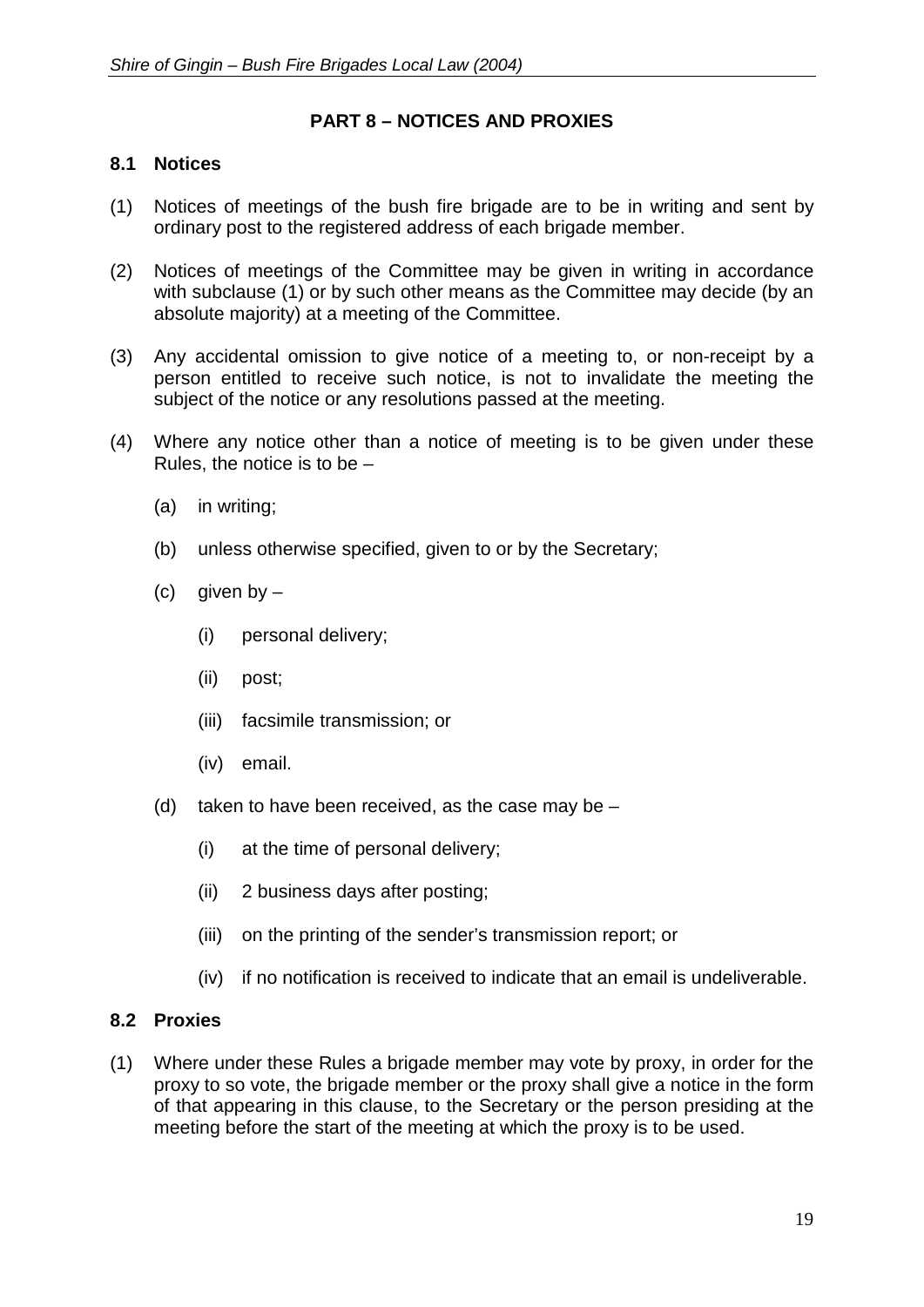# **PART 8 – NOTICES AND PROXIES**

#### <span id="page-22-0"></span>**8.1 Notices**

- (1) Notices of meetings of the bush fire brigade are to be in writing and sent by ordinary post to the registered address of each brigade member.
- (2) Notices of meetings of the Committee may be given in writing in accordance with subclause (1) or by such other means as the Committee may decide (by an absolute majority) at a meeting of the Committee.
- (3) Any accidental omission to give notice of a meeting to, or non-receipt by a person entitled to receive such notice, is not to invalidate the meeting the subject of the notice or any resolutions passed at the meeting.
- (4) Where any notice other than a notice of meeting is to be given under these Rules, the notice is to be –
	- (a) in writing;
	- (b) unless otherwise specified, given to or by the Secretary;
	- (c) given by  $-$ 
		- (i) personal delivery;
		- (ii) post;
		- (iii) facsimile transmission; or
		- (iv) email.
	- (d) taken to have been received, as the case may be  $-$ 
		- (i) at the time of personal delivery;
		- (ii) 2 business days after posting;
		- (iii) on the printing of the sender's transmission report; or
		- (iv) if no notification is received to indicate that an email is undeliverable.

#### <span id="page-22-1"></span>**8.2 Proxies**

(1) Where under these Rules a brigade member may vote by proxy, in order for the proxy to so vote, the brigade member or the proxy shall give a notice in the form of that appearing in this clause, to the Secretary or the person presiding at the meeting before the start of the meeting at which the proxy is to be used.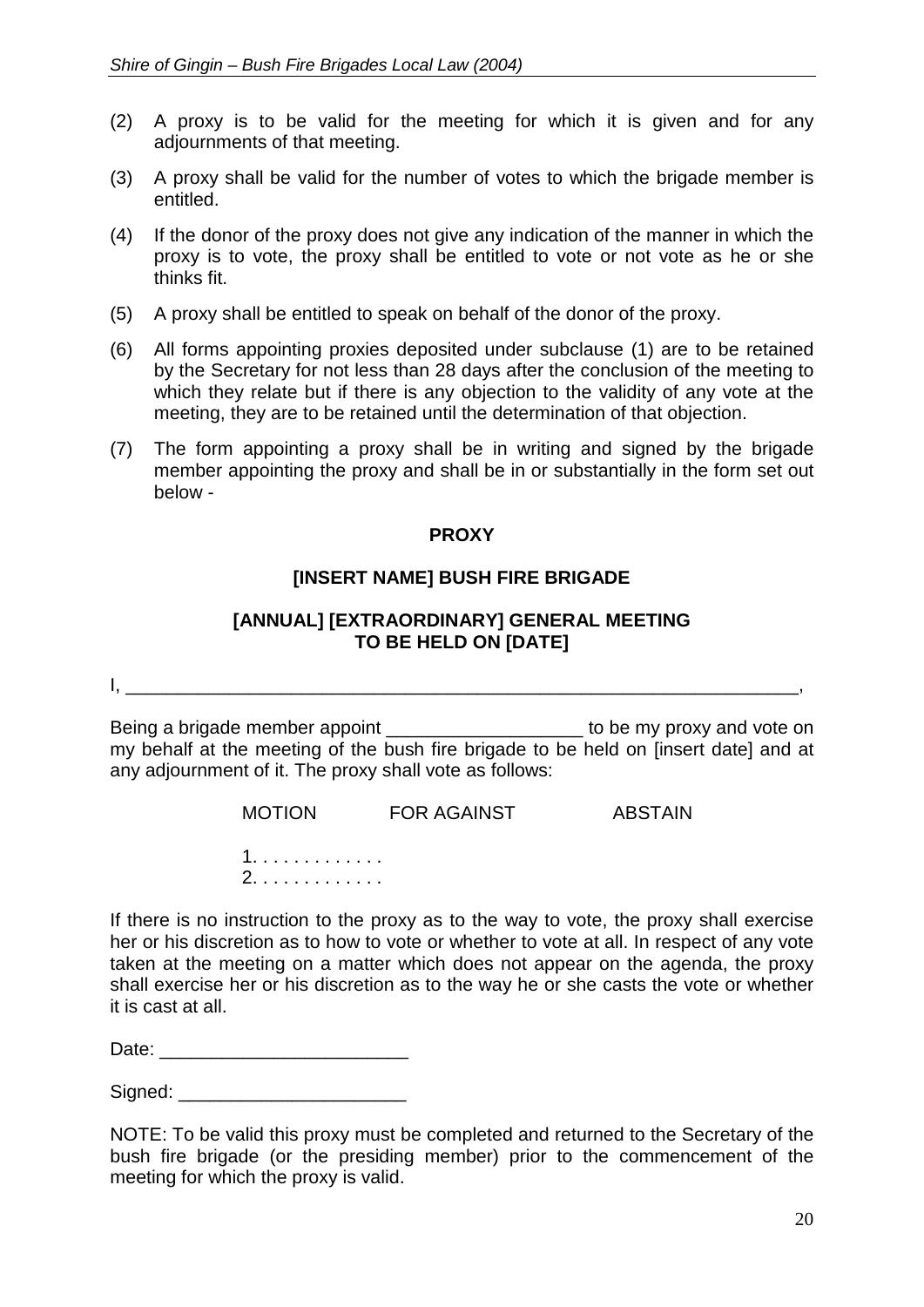- (2) A proxy is to be valid for the meeting for which it is given and for any adjournments of that meeting.
- (3) A proxy shall be valid for the number of votes to which the brigade member is entitled.
- (4) If the donor of the proxy does not give any indication of the manner in which the proxy is to vote, the proxy shall be entitled to vote or not vote as he or she thinks fit.
- (5) A proxy shall be entitled to speak on behalf of the donor of the proxy.
- (6) All forms appointing proxies deposited under subclause (1) are to be retained by the Secretary for not less than 28 days after the conclusion of the meeting to which they relate but if there is any objection to the validity of any vote at the meeting, they are to be retained until the determination of that objection.
- (7) The form appointing a proxy shall be in writing and signed by the brigade member appointing the proxy and shall be in or substantially in the form set out below -

#### **PROXY**

# **[INSERT NAME] BUSH FIRE BRIGADE**

#### **[ANNUAL] [EXTRAORDINARY] GENERAL MEETING TO BE HELD ON [DATE]**

I, \_\_\_\_\_\_\_\_\_\_\_\_\_\_\_\_\_\_\_\_\_\_\_\_\_\_\_\_\_\_\_\_\_\_\_\_\_\_\_\_\_\_\_\_\_\_\_\_\_\_\_\_\_\_\_\_\_\_\_\_\_\_\_\_\_,

Being a brigade member appoint **Example 1** be my proxy and vote on my behalf at the meeting of the bush fire brigade to be held on [insert date] and at any adjournment of it. The proxy shall vote as follows:

MOTION FOR AGAINST ABSTAIN

1. . . . . . . . . . . . . 2. . . . . . . . . . . . .

If there is no instruction to the proxy as to the way to vote, the proxy shall exercise her or his discretion as to how to vote or whether to vote at all. In respect of any vote taken at the meeting on a matter which does not appear on the agenda, the proxy shall exercise her or his discretion as to the way he or she casts the vote or whether it is cast at all.

Date: \_\_\_\_\_\_\_\_\_\_\_\_\_\_\_\_\_\_\_\_\_\_\_\_

Signed: \_\_\_\_\_\_\_\_\_\_\_\_\_\_\_\_\_\_\_\_\_\_

NOTE: To be valid this proxy must be completed and returned to the Secretary of the bush fire brigade (or the presiding member) prior to the commencement of the meeting for which the proxy is valid.